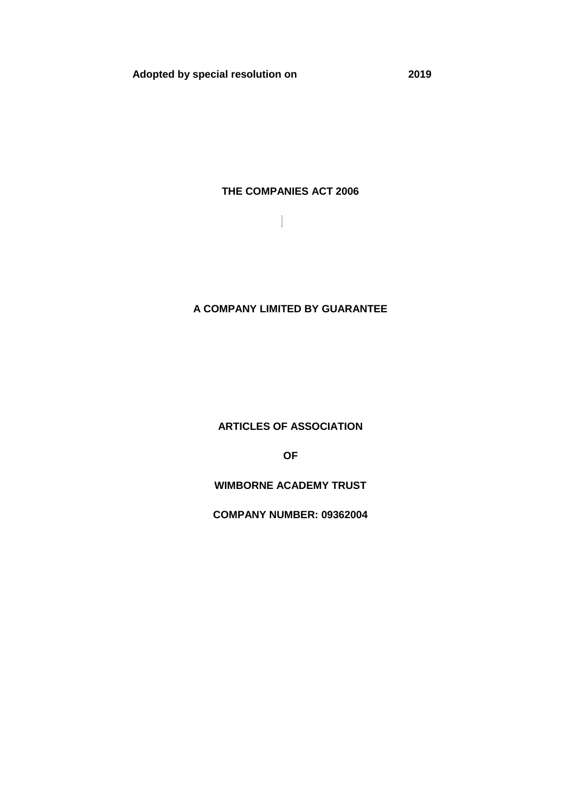**THE COMPANIES ACT 2006**

 $\begin{array}{c} \end{array}$ 

# **A COMPANY LIMITED BY GUARANTEE**

**ARTICLES OF ASSOCIATION**

**OF**

**WIMBORNE ACADEMY TRUST**

**COMPANY NUMBER: 09362004**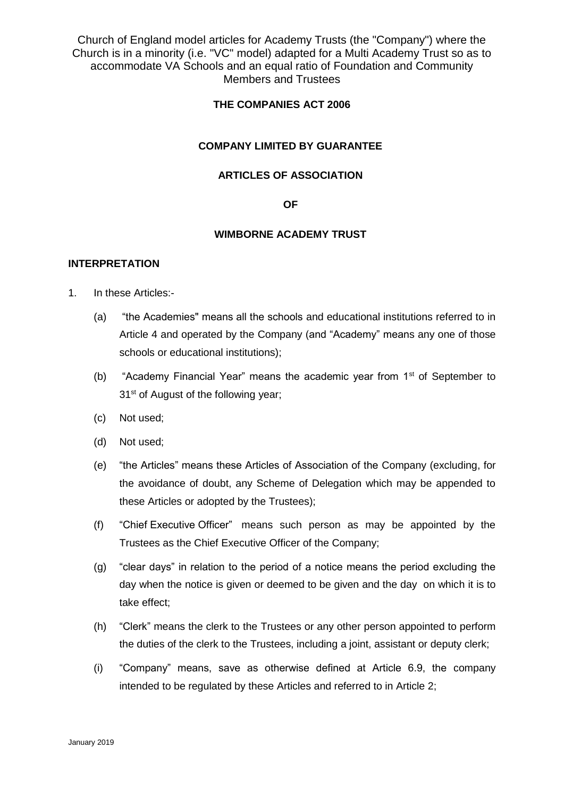## **THE COMPANIES ACT 2006**

## **COMPANY LIMITED BY GUARANTEE**

#### **ARTICLES OF ASSOCIATION**

#### **OF**

#### **WIMBORNE ACADEMY TRUST**

#### **INTERPRETATION**

- 1. In these Articles:-
	- (a) "the Academies" means all the schools and educational institutions referred to in Article 4 and operated by the Company (and "Academy" means any one of those schools or educational institutions);
	- (b) "Academy Financial Year" means the academic year from  $1<sup>st</sup>$  of September to 31<sup>st</sup> of August of the following year;
	- (c) Not used;
	- (d) Not used;
	- (e) "the Articles" means these Articles of Association of the Company (excluding, for the avoidance of doubt, any Scheme of Delegation which may be appended to these Articles or adopted by the Trustees);
	- (f) "Chief Executive Officer" means such person as may be appointed by the Trustees as the Chief Executive Officer of the Company;
	- (g) "clear days" in relation to the period of a notice means the period excluding the day when the notice is given or deemed to be given and the day on which it is to take effect;
	- (h) "Clerk" means the clerk to the Trustees or any other person appointed to perform the duties of the clerk to the Trustees, including a joint, assistant or deputy clerk;
	- (i) "Company" means, save as otherwise defined at Article 6.9, the company intended to be regulated by these Articles and referred to in Article 2;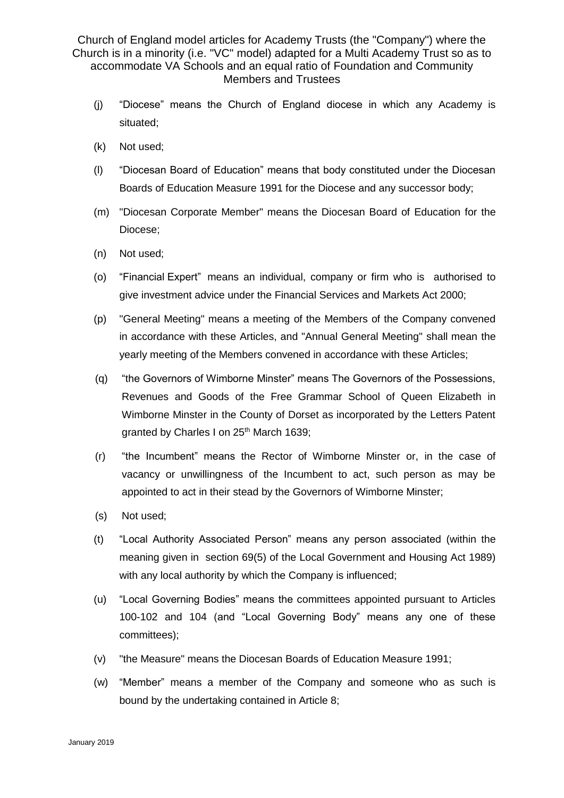- (j) "Diocese" means the Church of England diocese in which any Academy is situated;
- (k) Not used;
- (l) "Diocesan Board of Education" means that body constituted under the Diocesan Boards of Education Measure 1991 for the Diocese and any successor body;
- (m) "Diocesan Corporate Member" means the Diocesan Board of Education for the Diocese;
- (n) Not used;
- (o) "Financial Expert" means an individual, company or firm who is authorised to give investment advice under the Financial Services and Markets Act 2000;
- (p) "General Meeting" means a meeting of the Members of the Company convened in accordance with these Articles, and "Annual General Meeting" shall mean the yearly meeting of the Members convened in accordance with these Articles;
- (q) "the Governors of Wimborne Minster" means The Governors of the Possessions, Revenues and Goods of the Free Grammar School of Queen Elizabeth in Wimborne Minster in the County of Dorset as incorporated by the Letters Patent granted by Charles I on 25<sup>th</sup> March 1639;
- (r) "the Incumbent" means the Rector of Wimborne Minster or, in the case of vacancy or unwillingness of the Incumbent to act, such person as may be appointed to act in their stead by the Governors of Wimborne Minster;
- (s) Not used;
- (t) "Local Authority Associated Person" means any person associated (within the meaning given in section 69(5) of the Local Government and Housing Act 1989) with any local authority by which the Company is influenced;
- (u) "Local Governing Bodies" means the committees appointed pursuant to Articles 100-102 and 104 (and "Local Governing Body" means any one of these committees);
- (v) "the Measure" means the Diocesan Boards of Education Measure 1991;
- (w) "Member" means a member of the Company and someone who as such is bound by the undertaking contained in Article 8;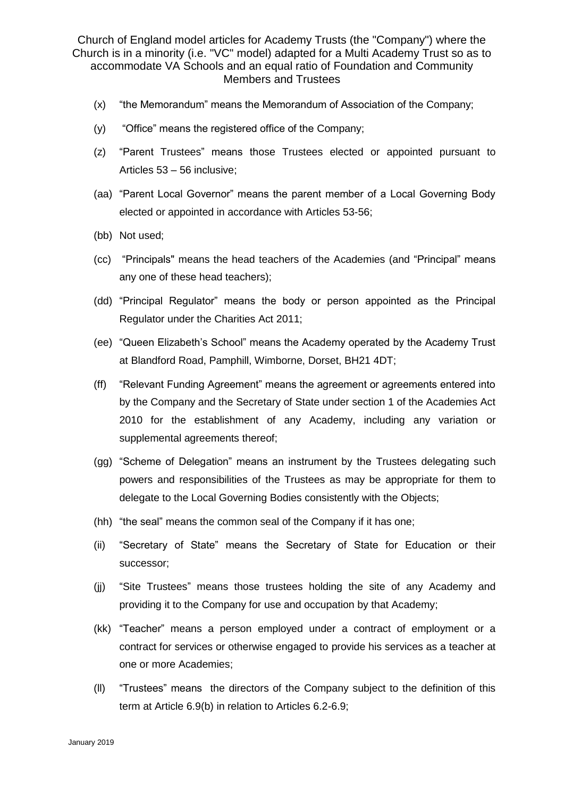- (x) "the Memorandum" means the Memorandum of Association of the Company;
- (y) "Office" means the registered office of the Company;
- (z) "Parent Trustees" means those Trustees elected or appointed pursuant to Articles 53 – 56 inclusive;
- (aa) "Parent Local Governor" means the parent member of a Local Governing Body elected or appointed in accordance with Articles 53-56;
- (bb) Not used;
- (cc) "Principals" means the head teachers of the Academies (and "Principal" means any one of these head teachers);
- (dd) "Principal Regulator" means the body or person appointed as the Principal Regulator under the Charities Act 2011;
- (ee) "Queen Elizabeth's School" means the Academy operated by the Academy Trust at Blandford Road, Pamphill, Wimborne, Dorset, BH21 4DT;
- (ff) "Relevant Funding Agreement" means the agreement or agreements entered into by the Company and the Secretary of State under section 1 of the Academies Act 2010 for the establishment of any Academy, including any variation or supplemental agreements thereof;
- (gg) "Scheme of Delegation" means an instrument by the Trustees delegating such powers and responsibilities of the Trustees as may be appropriate for them to delegate to the Local Governing Bodies consistently with the Objects;
- (hh) "the seal" means the common seal of the Company if it has one;
- (ii) "Secretary of State" means the Secretary of State for Education or their successor;
- (jj) "Site Trustees" means those trustees holding the site of any Academy and providing it to the Company for use and occupation by that Academy;
- (kk) "Teacher" means a person employed under a contract of employment or a contract for services or otherwise engaged to provide his services as a teacher at one or more Academies;
- (ll) "Trustees" means the directors of the Company subject to the definition of this term at Article 6.9(b) in relation to Articles 6.2-6.9;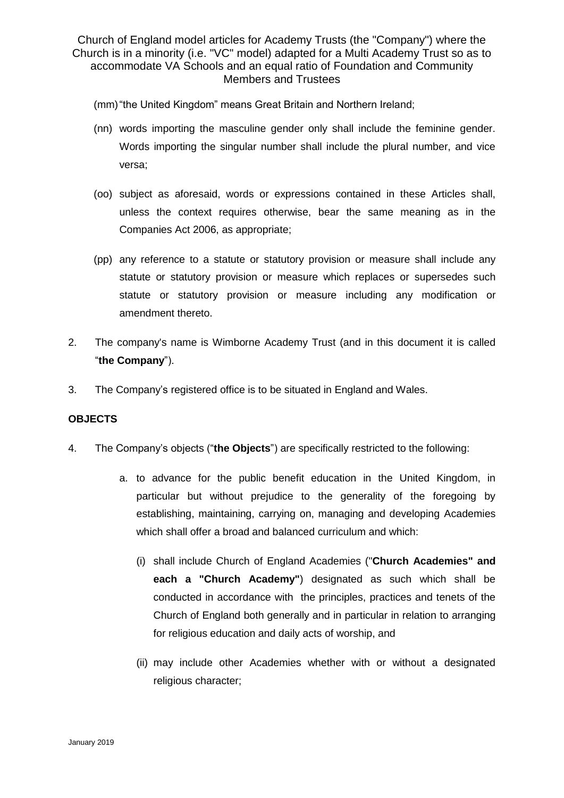(mm)"the United Kingdom" means Great Britain and Northern Ireland;

- (nn) words importing the masculine gender only shall include the feminine gender. Words importing the singular number shall include the plural number, and vice versa;
- (oo) subject as aforesaid, words or expressions contained in these Articles shall, unless the context requires otherwise, bear the same meaning as in the Companies Act 2006, as appropriate;
- (pp) any reference to a statute or statutory provision or measure shall include any statute or statutory provision or measure which replaces or supersedes such statute or statutory provision or measure including any modification or amendment thereto.
- 2. The company's name is Wimborne Academy Trust (and in this document it is called "**the Company**").
- 3. The Company's registered office is to be situated in England and Wales.

## **OBJECTS**

- 4. The Company's objects ("**the Objects**") are specifically restricted to the following:
	- a. to advance for the public benefit education in the United Kingdom, in particular but without prejudice to the generality of the foregoing by establishing, maintaining, carrying on, managing and developing Academies which shall offer a broad and balanced curriculum and which:
		- (i) shall include Church of England Academies ("**Church Academies" and each a "Church Academy"**) designated as such which shall be conducted in accordance with the principles, practices and tenets of the Church of England both generally and in particular in relation to arranging for religious education and daily acts of worship, and
		- (ii) may include other Academies whether with or without a designated religious character;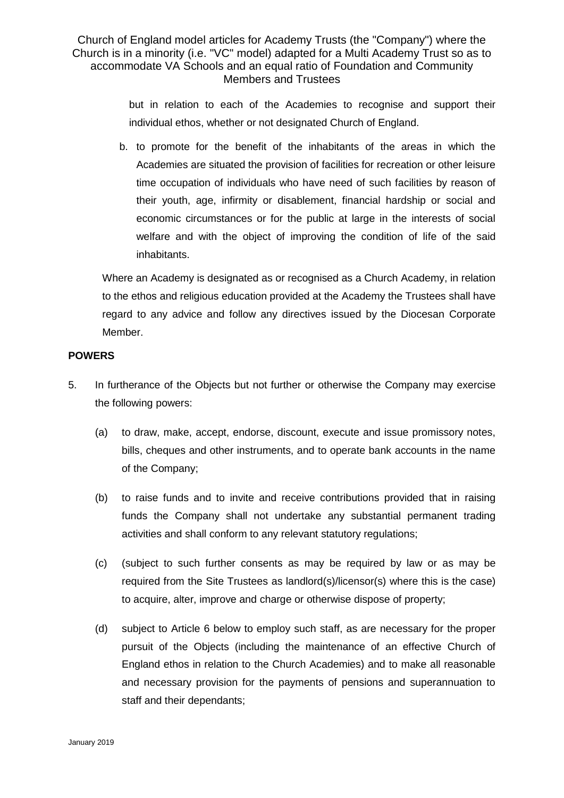> but in relation to each of the Academies to recognise and support their individual ethos, whether or not designated Church of England.

b. to promote for the benefit of the inhabitants of the areas in which the Academies are situated the provision of facilities for recreation or other leisure time occupation of individuals who have need of such facilities by reason of their youth, age, infirmity or disablement, financial hardship or social and economic circumstances or for the public at large in the interests of social welfare and with the object of improving the condition of life of the said inhabitants.

Where an Academy is designated as or recognised as a Church Academy, in relation to the ethos and religious education provided at the Academy the Trustees shall have regard to any advice and follow any directives issued by the Diocesan Corporate Member.

## **POWERS**

- 5. In furtherance of the Objects but not further or otherwise the Company may exercise the following powers:
	- (a) to draw, make, accept, endorse, discount, execute and issue promissory notes, bills, cheques and other instruments, and to operate bank accounts in the name of the Company;
	- (b) to raise funds and to invite and receive contributions provided that in raising funds the Company shall not undertake any substantial permanent trading activities and shall conform to any relevant statutory regulations;
	- (c) (subject to such further consents as may be required by law or as may be required from the Site Trustees as landlord(s)/licensor(s) where this is the case) to acquire, alter, improve and charge or otherwise dispose of property;
	- (d) subject to Article 6 below to employ such staff, as are necessary for the proper pursuit of the Objects (including the maintenance of an effective Church of England ethos in relation to the Church Academies) and to make all reasonable and necessary provision for the payments of pensions and superannuation to staff and their dependants;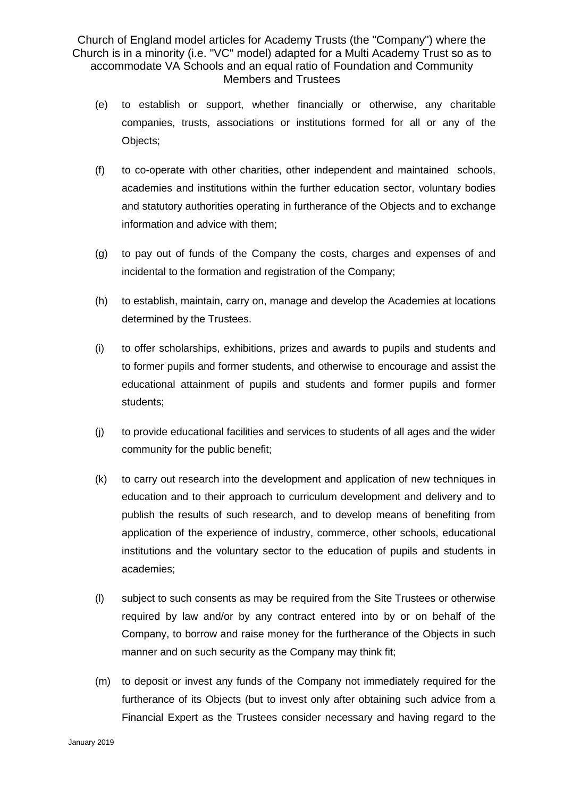- (e) to establish or support, whether financially or otherwise, any charitable companies, trusts, associations or institutions formed for all or any of the Objects;
- (f) to co-operate with other charities, other independent and maintained schools, academies and institutions within the further education sector, voluntary bodies and statutory authorities operating in furtherance of the Objects and to exchange information and advice with them;
- (g) to pay out of funds of the Company the costs, charges and expenses of and incidental to the formation and registration of the Company;
- (h) to establish, maintain, carry on, manage and develop the Academies at locations determined by the Trustees.
- (i) to offer scholarships, exhibitions, prizes and awards to pupils and students and to former pupils and former students, and otherwise to encourage and assist the educational attainment of pupils and students and former pupils and former students;
- (j) to provide educational facilities and services to students of all ages and the wider community for the public benefit;
- (k) to carry out research into the development and application of new techniques in education and to their approach to curriculum development and delivery and to publish the results of such research, and to develop means of benefiting from application of the experience of industry, commerce, other schools, educational institutions and the voluntary sector to the education of pupils and students in academies;
- (l) subject to such consents as may be required from the Site Trustees or otherwise required by law and/or by any contract entered into by or on behalf of the Company, to borrow and raise money for the furtherance of the Objects in such manner and on such security as the Company may think fit;
- (m) to deposit or invest any funds of the Company not immediately required for the furtherance of its Objects (but to invest only after obtaining such advice from a Financial Expert as the Trustees consider necessary and having regard to the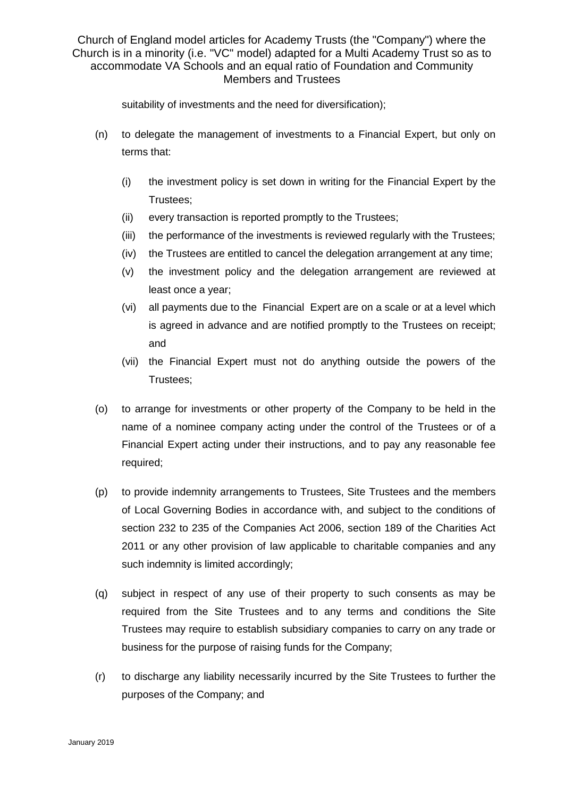suitability of investments and the need for diversification);

- (n) to delegate the management of investments to a Financial Expert, but only on terms that:
	- (i) the investment policy is set down in writing for the Financial Expert by the Trustees;
	- (ii) every transaction is reported promptly to the Trustees;
	- (iii) the performance of the investments is reviewed regularly with the Trustees;
	- (iv) the Trustees are entitled to cancel the delegation arrangement at any time;
	- (v) the investment policy and the delegation arrangement are reviewed at least once a year;
	- (vi) all payments due to the Financial Expert are on a scale or at a level which is agreed in advance and are notified promptly to the Trustees on receipt; and
	- (vii) the Financial Expert must not do anything outside the powers of the Trustees;
- (o) to arrange for investments or other property of the Company to be held in the name of a nominee company acting under the control of the Trustees or of a Financial Expert acting under their instructions, and to pay any reasonable fee required;
- (p) to provide indemnity arrangements to Trustees, Site Trustees and the members of Local Governing Bodies in accordance with, and subject to the conditions of section 232 to 235 of the Companies Act 2006, section 189 of the Charities Act 2011 or any other provision of law applicable to charitable companies and any such indemnity is limited accordingly;
- (q) subject in respect of any use of their property to such consents as may be required from the Site Trustees and to any terms and conditions the Site Trustees may require to establish subsidiary companies to carry on any trade or business for the purpose of raising funds for the Company;
- (r) to discharge any liability necessarily incurred by the Site Trustees to further the purposes of the Company; and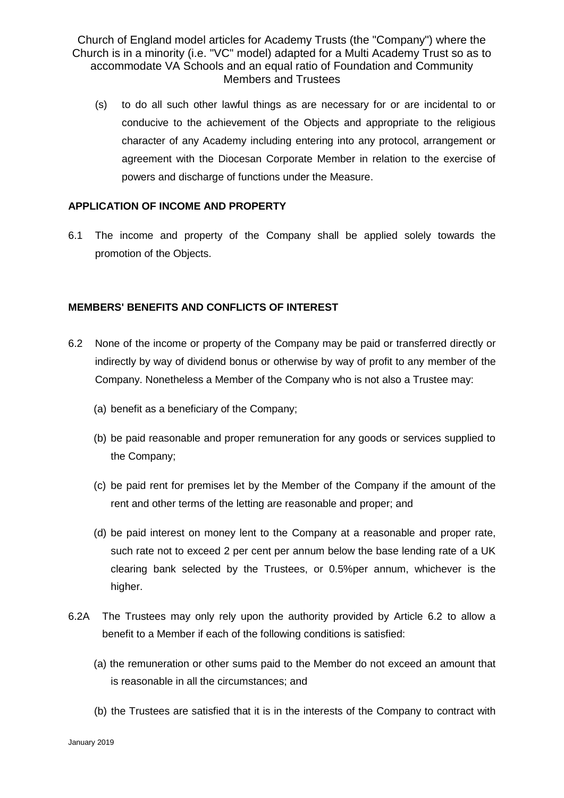(s) to do all such other lawful things as are necessary for or are incidental to or conducive to the achievement of the Objects and appropriate to the religious character of any Academy including entering into any protocol, arrangement or agreement with the Diocesan Corporate Member in relation to the exercise of powers and discharge of functions under the Measure.

# **APPLICATION OF INCOME AND PROPERTY**

6.1 The income and property of the Company shall be applied solely towards the promotion of the Objects.

# **MEMBERS' BENEFITS AND CONFLICTS OF INTEREST**

- 6.2 None of the income or property of the Company may be paid or transferred directly or indirectly by way of dividend bonus or otherwise by way of profit to any member of the Company. Nonetheless a Member of the Company who is not also a Trustee may:
	- (a) benefit as a beneficiary of the Company;
	- (b) be paid reasonable and proper remuneration for any goods or services supplied to the Company;
	- (c) be paid rent for premises let by the Member of the Company if the amount of the rent and other terms of the letting are reasonable and proper; and
	- (d) be paid interest on money lent to the Company at a reasonable and proper rate, such rate not to exceed 2 per cent per annum below the base lending rate of a UK clearing bank selected by the Trustees, or 0.5%per annum, whichever is the higher.
- 6.2A The Trustees may only rely upon the authority provided by Article 6.2 to allow a benefit to a Member if each of the following conditions is satisfied:
	- (a) the remuneration or other sums paid to the Member do not exceed an amount that is reasonable in all the circumstances; and
	- (b) the Trustees are satisfied that it is in the interests of the Company to contract with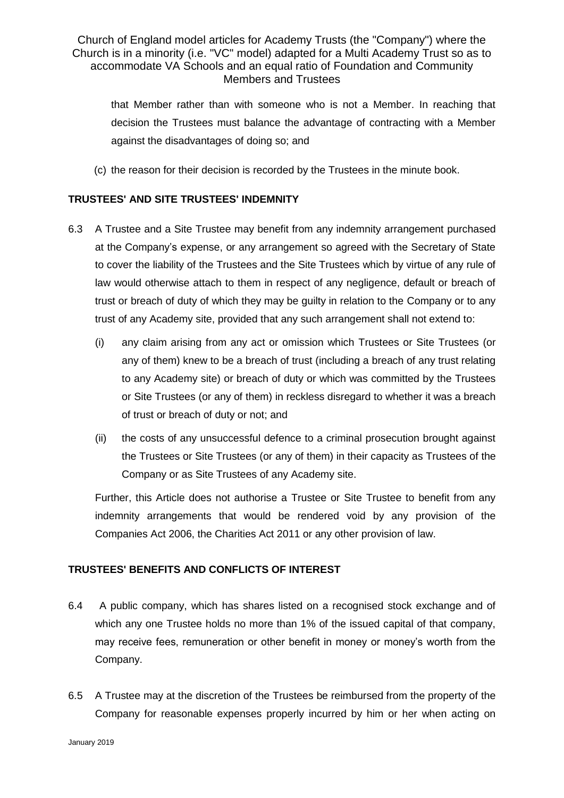that Member rather than with someone who is not a Member. In reaching that decision the Trustees must balance the advantage of contracting with a Member against the disadvantages of doing so; and

(c) the reason for their decision is recorded by the Trustees in the minute book.

# **TRUSTEES' AND SITE TRUSTEES' INDEMNITY**

- 6.3 A Trustee and a Site Trustee may benefit from any indemnity arrangement purchased at the Company's expense, or any arrangement so agreed with the Secretary of State to cover the liability of the Trustees and the Site Trustees which by virtue of any rule of law would otherwise attach to them in respect of any negligence, default or breach of trust or breach of duty of which they may be guilty in relation to the Company or to any trust of any Academy site, provided that any such arrangement shall not extend to:
	- (i) any claim arising from any act or omission which Trustees or Site Trustees (or any of them) knew to be a breach of trust (including a breach of any trust relating to any Academy site) or breach of duty or which was committed by the Trustees or Site Trustees (or any of them) in reckless disregard to whether it was a breach of trust or breach of duty or not; and
	- (ii) the costs of any unsuccessful defence to a criminal prosecution brought against the Trustees or Site Trustees (or any of them) in their capacity as Trustees of the Company or as Site Trustees of any Academy site.

Further, this Article does not authorise a Trustee or Site Trustee to benefit from any indemnity arrangements that would be rendered void by any provision of the Companies Act 2006, the Charities Act 2011 or any other provision of law.

# **TRUSTEES' BENEFITS AND CONFLICTS OF INTEREST**

- 6.4 A public company, which has shares listed on a recognised stock exchange and of which any one Trustee holds no more than 1% of the issued capital of that company, may receive fees, remuneration or other benefit in money or money's worth from the Company.
- 6.5 A Trustee may at the discretion of the Trustees be reimbursed from the property of the Company for reasonable expenses properly incurred by him or her when acting on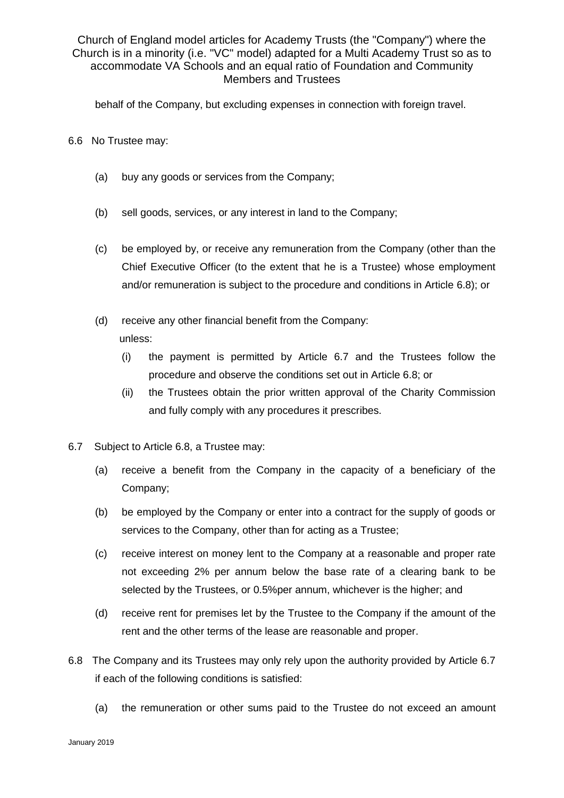behalf of the Company, but excluding expenses in connection with foreign travel.

- 6.6 No Trustee may:
	- (a) buy any goods or services from the Company;
	- (b) sell goods, services, or any interest in land to the Company;
	- (c) be employed by, or receive any remuneration from the Company (other than the Chief Executive Officer (to the extent that he is a Trustee) whose employment and/or remuneration is subject to the procedure and conditions in Article 6.8); or
	- (d) receive any other financial benefit from the Company: unless:
		- (i) the payment is permitted by Article 6.7 and the Trustees follow the procedure and observe the conditions set out in Article 6.8; or
		- (ii) the Trustees obtain the prior written approval of the Charity Commission and fully comply with any procedures it prescribes.
- 6.7 Subject to Article 6.8, a Trustee may:
	- (a) receive a benefit from the Company in the capacity of a beneficiary of the Company;
	- (b) be employed by the Company or enter into a contract for the supply of goods or services to the Company, other than for acting as a Trustee;
	- (c) receive interest on money lent to the Company at a reasonable and proper rate not exceeding 2% per annum below the base rate of a clearing bank to be selected by the Trustees, or 0.5%per annum, whichever is the higher; and
	- (d) receive rent for premises let by the Trustee to the Company if the amount of the rent and the other terms of the lease are reasonable and proper.
- 6.8 The Company and its Trustees may only rely upon the authority provided by Article 6.7 if each of the following conditions is satisfied:
	- (a) the remuneration or other sums paid to the Trustee do not exceed an amount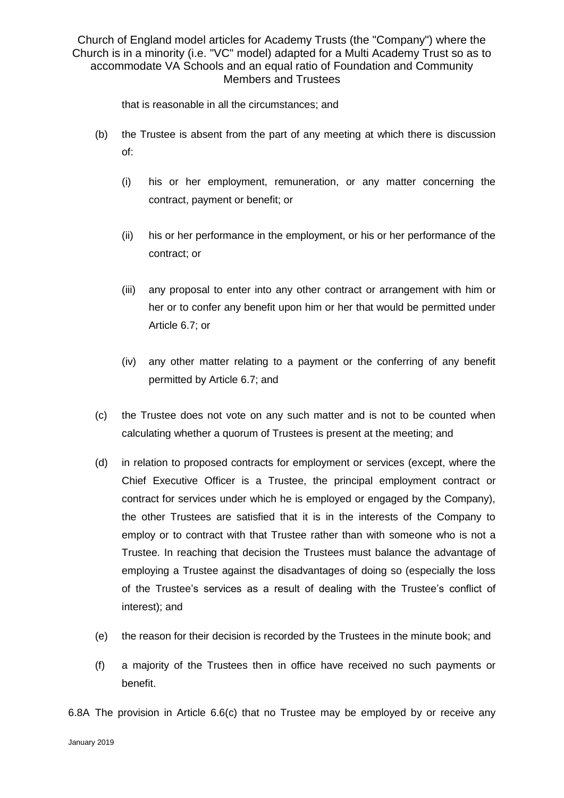that is reasonable in all the circumstances; and

- (b) the Trustee is absent from the part of any meeting at which there is discussion of:
	- (i) his or her employment, remuneration, or any matter concerning the contract, payment or benefit; or
	- (ii) his or her performance in the employment, or his or her performance of the contract; or
	- (iii) any proposal to enter into any other contract or arrangement with him or her or to confer any benefit upon him or her that would be permitted under Article 6.7; or
	- (iv) any other matter relating to a payment or the conferring of any benefit permitted by Article 6.7; and
- (c) the Trustee does not vote on any such matter and is not to be counted when calculating whether a quorum of Trustees is present at the meeting; and
- (d) in relation to proposed contracts for employment or services (except, where the Chief Executive Officer is a Trustee, the principal employment contract or contract for services under which he is employed or engaged by the Company), the other Trustees are satisfied that it is in the interests of the Company to employ or to contract with that Trustee rather than with someone who is not a Trustee. In reaching that decision the Trustees must balance the advantage of employing a Trustee against the disadvantages of doing so (especially the loss of the Trustee's services as a result of dealing with the Trustee's conflict of interest); and
- (e) the reason for their decision is recorded by the Trustees in the minute book; and
- (f) a majority of the Trustees then in office have received no such payments or benefit.

6.8A The provision in Article 6.6(c) that no Trustee may be employed by or receive any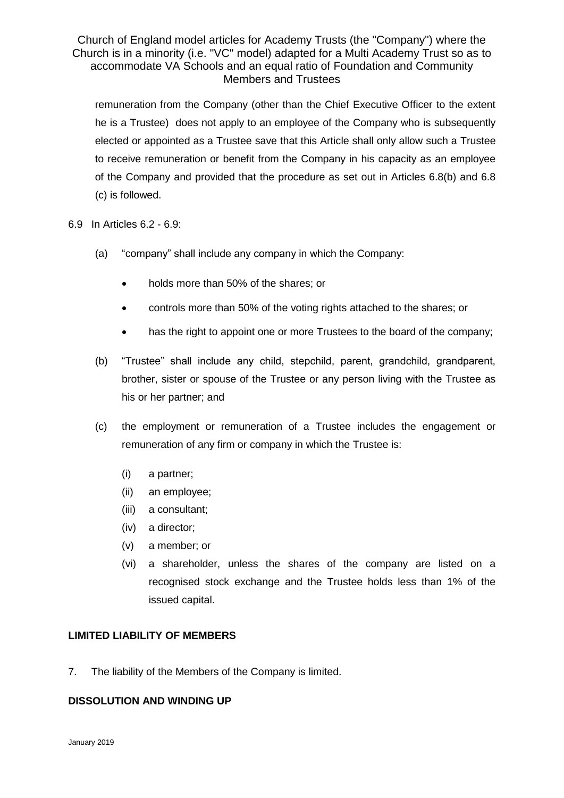remuneration from the Company (other than the Chief Executive Officer to the extent he is a Trustee) does not apply to an employee of the Company who is subsequently elected or appointed as a Trustee save that this Article shall only allow such a Trustee to receive remuneration or benefit from the Company in his capacity as an employee of the Company and provided that the procedure as set out in Articles 6.8(b) and 6.8 (c) is followed.

6.9 In Articles 6.2 - 6.9:

- (a) "company" shall include any company in which the Company:
	- holds more than 50% of the shares; or
	- controls more than 50% of the voting rights attached to the shares; or
	- has the right to appoint one or more Trustees to the board of the company;
- (b) "Trustee" shall include any child, stepchild, parent, grandchild, grandparent, brother, sister or spouse of the Trustee or any person living with the Trustee as his or her partner; and
- (c) the employment or remuneration of a Trustee includes the engagement or remuneration of any firm or company in which the Trustee is:
	- (i) a partner;
	- (ii) an employee;
	- (iii) a consultant;
	- (iv) a director;
	- (v) a member; or
	- (vi) a shareholder, unless the shares of the company are listed on a recognised stock exchange and the Trustee holds less than 1% of the issued capital.

# **LIMITED LIABILITY OF MEMBERS**

7. The liability of the Members of the Company is limited.

# **DISSOLUTION AND WINDING UP**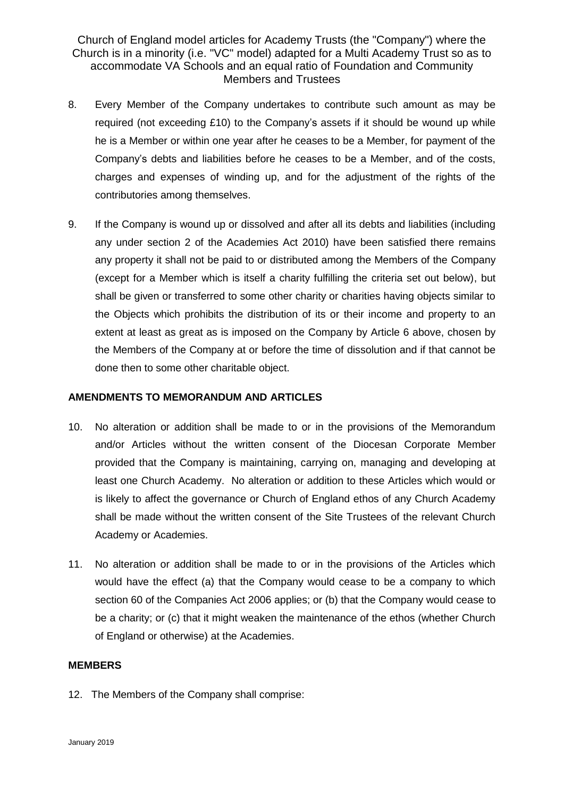- 8. Every Member of the Company undertakes to contribute such amount as may be required (not exceeding £10) to the Company's assets if it should be wound up while he is a Member or within one year after he ceases to be a Member, for payment of the Company's debts and liabilities before he ceases to be a Member, and of the costs, charges and expenses of winding up, and for the adjustment of the rights of the contributories among themselves.
- 9. If the Company is wound up or dissolved and after all its debts and liabilities (including any under section 2 of the Academies Act 2010) have been satisfied there remains any property it shall not be paid to or distributed among the Members of the Company (except for a Member which is itself a charity fulfilling the criteria set out below), but shall be given or transferred to some other charity or charities having objects similar to the Objects which prohibits the distribution of its or their income and property to an extent at least as great as is imposed on the Company by Article 6 above, chosen by the Members of the Company at or before the time of dissolution and if that cannot be done then to some other charitable object.

## **AMENDMENTS TO MEMORANDUM AND ARTICLES**

- 10. No alteration or addition shall be made to or in the provisions of the Memorandum and/or Articles without the written consent of the Diocesan Corporate Member provided that the Company is maintaining, carrying on, managing and developing at least one Church Academy. No alteration or addition to these Articles which would or is likely to affect the governance or Church of England ethos of any Church Academy shall be made without the written consent of the Site Trustees of the relevant Church Academy or Academies.
- 11. No alteration or addition shall be made to or in the provisions of the Articles which would have the effect (a) that the Company would cease to be a company to which section 60 of the Companies Act 2006 applies; or (b) that the Company would cease to be a charity; or (c) that it might weaken the maintenance of the ethos (whether Church of England or otherwise) at the Academies.

#### **MEMBERS**

12. The Members of the Company shall comprise: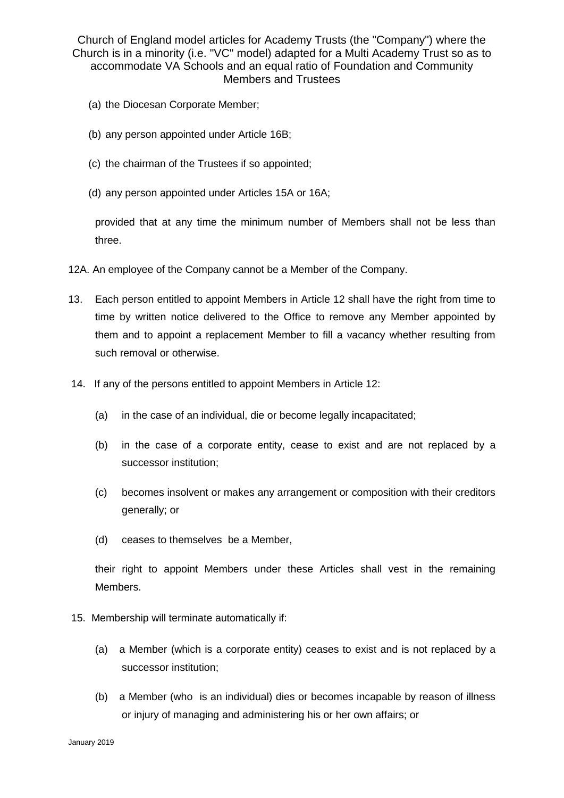- (a) the Diocesan Corporate Member;
- (b) any person appointed under Article 16B;
- (c) the chairman of the Trustees if so appointed;
- (d) any person appointed under Articles 15A or 16A;

provided that at any time the minimum number of Members shall not be less than three.

- 12A. An employee of the Company cannot be a Member of the Company.
- 13. Each person entitled to appoint Members in Article 12 shall have the right from time to time by written notice delivered to the Office to remove any Member appointed by them and to appoint a replacement Member to fill a vacancy whether resulting from such removal or otherwise.
- 14. If any of the persons entitled to appoint Members in Article 12:
	- (a) in the case of an individual, die or become legally incapacitated;
	- (b) in the case of a corporate entity, cease to exist and are not replaced by a successor institution;
	- (c) becomes insolvent or makes any arrangement or composition with their creditors generally; or
	- (d) ceases to themselves be a Member,

their right to appoint Members under these Articles shall vest in the remaining Members.

- 15. Membership will terminate automatically if:
	- (a) a Member (which is a corporate entity) ceases to exist and is not replaced by a successor institution;
	- (b) a Member (who is an individual) dies or becomes incapable by reason of illness or injury of managing and administering his or her own affairs; or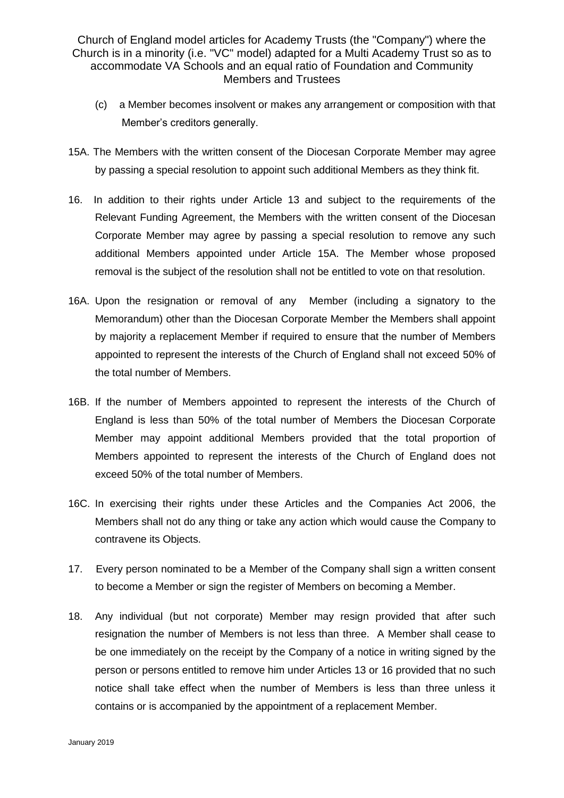- (c) a Member becomes insolvent or makes any arrangement or composition with that Member's creditors generally.
- 15A. The Members with the written consent of the Diocesan Corporate Member may agree by passing a special resolution to appoint such additional Members as they think fit.
- 16. In addition to their rights under Article 13 and subject to the requirements of the Relevant Funding Agreement, the Members with the written consent of the Diocesan Corporate Member may agree by passing a special resolution to remove any such additional Members appointed under Article 15A. The Member whose proposed removal is the subject of the resolution shall not be entitled to vote on that resolution.
- 16A. Upon the resignation or removal of any Member (including a signatory to the Memorandum) other than the Diocesan Corporate Member the Members shall appoint by majority a replacement Member if required to ensure that the number of Members appointed to represent the interests of the Church of England shall not exceed 50% of the total number of Members.
- 16B. If the number of Members appointed to represent the interests of the Church of England is less than 50% of the total number of Members the Diocesan Corporate Member may appoint additional Members provided that the total proportion of Members appointed to represent the interests of the Church of England does not exceed 50% of the total number of Members.
- 16C. In exercising their rights under these Articles and the Companies Act 2006, the Members shall not do any thing or take any action which would cause the Company to contravene its Objects.
- 17. Every person nominated to be a Member of the Company shall sign a written consent to become a Member or sign the register of Members on becoming a Member.
- 18. Any individual (but not corporate) Member may resign provided that after such resignation the number of Members is not less than three. A Member shall cease to be one immediately on the receipt by the Company of a notice in writing signed by the person or persons entitled to remove him under Articles 13 or 16 provided that no such notice shall take effect when the number of Members is less than three unless it contains or is accompanied by the appointment of a replacement Member.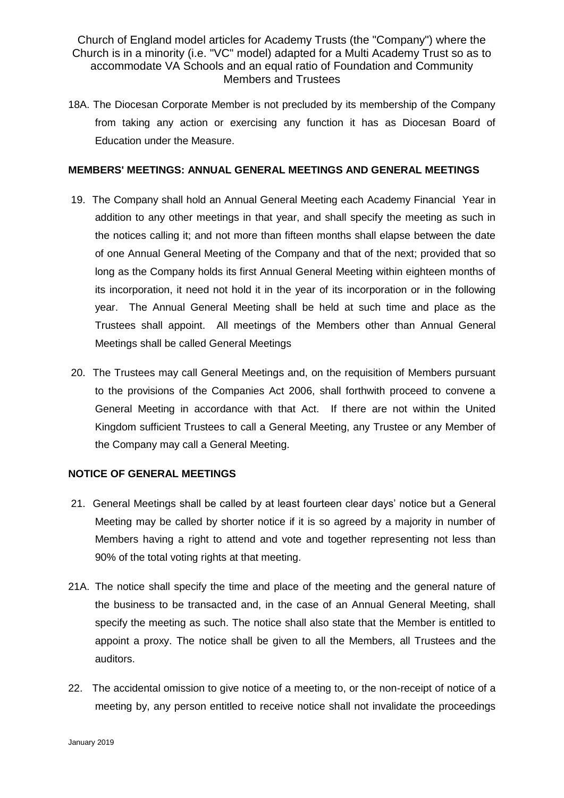18A. The Diocesan Corporate Member is not precluded by its membership of the Company from taking any action or exercising any function it has as Diocesan Board of Education under the Measure.

## **MEMBERS' MEETINGS: ANNUAL GENERAL MEETINGS AND GENERAL MEETINGS**

- 19. The Company shall hold an Annual General Meeting each Academy Financial Year in addition to any other meetings in that year, and shall specify the meeting as such in the notices calling it; and not more than fifteen months shall elapse between the date of one Annual General Meeting of the Company and that of the next; provided that so long as the Company holds its first Annual General Meeting within eighteen months of its incorporation, it need not hold it in the year of its incorporation or in the following year. The Annual General Meeting shall be held at such time and place as the Trustees shall appoint. All meetings of the Members other than Annual General Meetings shall be called General Meetings
- 20. The Trustees may call General Meetings and, on the requisition of Members pursuant to the provisions of the Companies Act 2006, shall forthwith proceed to convene a General Meeting in accordance with that Act. If there are not within the United Kingdom sufficient Trustees to call a General Meeting, any Trustee or any Member of the Company may call a General Meeting.

## **NOTICE OF GENERAL MEETINGS**

- 21. General Meetings shall be called by at least fourteen clear days' notice but a General Meeting may be called by shorter notice if it is so agreed by a majority in number of Members having a right to attend and vote and together representing not less than 90% of the total voting rights at that meeting.
- 21A. The notice shall specify the time and place of the meeting and the general nature of the business to be transacted and, in the case of an Annual General Meeting, shall specify the meeting as such. The notice shall also state that the Member is entitled to appoint a proxy. The notice shall be given to all the Members, all Trustees and the auditors.
- 22. The accidental omission to give notice of a meeting to, or the non-receipt of notice of a meeting by, any person entitled to receive notice shall not invalidate the proceedings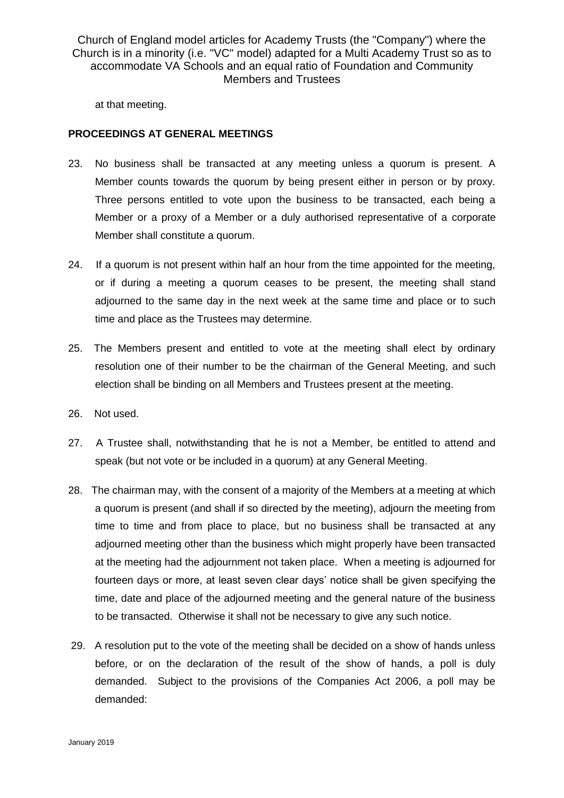at that meeting.

#### **PROCEEDINGS AT GENERAL MEETINGS**

- 23. No business shall be transacted at any meeting unless a quorum is present. A Member counts towards the quorum by being present either in person or by proxy. Three persons entitled to vote upon the business to be transacted, each being a Member or a proxy of a Member or a duly authorised representative of a corporate Member shall constitute a quorum.
- 24. If a quorum is not present within half an hour from the time appointed for the meeting, or if during a meeting a quorum ceases to be present, the meeting shall stand adjourned to the same day in the next week at the same time and place or to such time and place as the Trustees may determine.
- 25. The Members present and entitled to vote at the meeting shall elect by ordinary resolution one of their number to be the chairman of the General Meeting, and such election shall be binding on all Members and Trustees present at the meeting.
- 26. Not used.
- 27. A Trustee shall, notwithstanding that he is not a Member, be entitled to attend and speak (but not vote or be included in a quorum) at any General Meeting.
- 28. The chairman may, with the consent of a majority of the Members at a meeting at which a quorum is present (and shall if so directed by the meeting), adjourn the meeting from time to time and from place to place, but no business shall be transacted at any adjourned meeting other than the business which might properly have been transacted at the meeting had the adjournment not taken place. When a meeting is adjourned for fourteen days or more, at least seven clear days' notice shall be given specifying the time, date and place of the adjourned meeting and the general nature of the business to be transacted. Otherwise it shall not be necessary to give any such notice.
- 29. A resolution put to the vote of the meeting shall be decided on a show of hands unless before, or on the declaration of the result of the show of hands, a poll is duly demanded. Subject to the provisions of the Companies Act 2006, a poll may be demanded: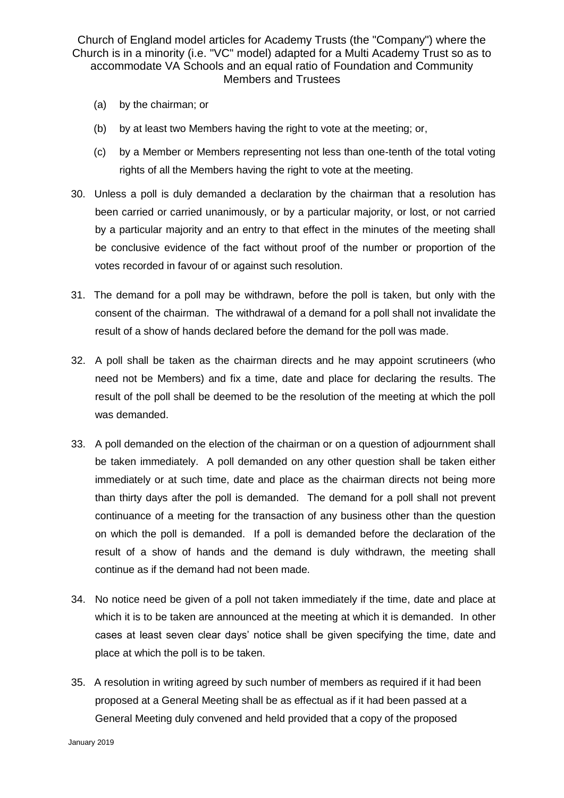- (a) by the chairman; or
- (b) by at least two Members having the right to vote at the meeting; or,
- (c) by a Member or Members representing not less than one-tenth of the total voting rights of all the Members having the right to vote at the meeting.
- 30. Unless a poll is duly demanded a declaration by the chairman that a resolution has been carried or carried unanimously, or by a particular majority, or lost, or not carried by a particular majority and an entry to that effect in the minutes of the meeting shall be conclusive evidence of the fact without proof of the number or proportion of the votes recorded in favour of or against such resolution.
- 31. The demand for a poll may be withdrawn, before the poll is taken, but only with the consent of the chairman. The withdrawal of a demand for a poll shall not invalidate the result of a show of hands declared before the demand for the poll was made.
- 32. A poll shall be taken as the chairman directs and he may appoint scrutineers (who need not be Members) and fix a time, date and place for declaring the results. The result of the poll shall be deemed to be the resolution of the meeting at which the poll was demanded.
- 33. A poll demanded on the election of the chairman or on a question of adjournment shall be taken immediately. A poll demanded on any other question shall be taken either immediately or at such time, date and place as the chairman directs not being more than thirty days after the poll is demanded. The demand for a poll shall not prevent continuance of a meeting for the transaction of any business other than the question on which the poll is demanded. If a poll is demanded before the declaration of the result of a show of hands and the demand is duly withdrawn, the meeting shall continue as if the demand had not been made.
- 34. No notice need be given of a poll not taken immediately if the time, date and place at which it is to be taken are announced at the meeting at which it is demanded. In other cases at least seven clear days' notice shall be given specifying the time, date and place at which the poll is to be taken.
- 35. A resolution in writing agreed by such number of members as required if it had been proposed at a General Meeting shall be as effectual as if it had been passed at a General Meeting duly convened and held provided that a copy of the proposed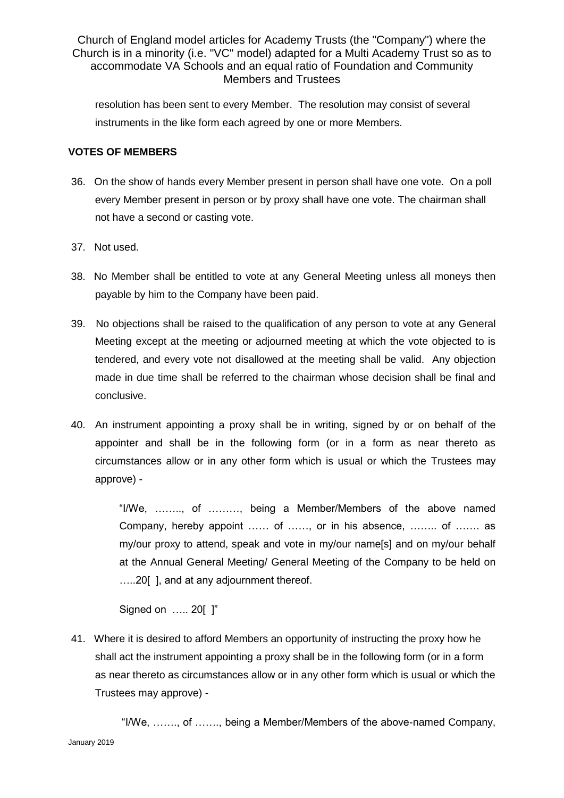resolution has been sent to every Member. The resolution may consist of several instruments in the like form each agreed by one or more Members.

## **VOTES OF MEMBERS**

- 36. On the show of hands every Member present in person shall have one vote. On a poll every Member present in person or by proxy shall have one vote. The chairman shall not have a second or casting vote.
- 37. Not used.
- 38. No Member shall be entitled to vote at any General Meeting unless all moneys then payable by him to the Company have been paid.
- 39. No objections shall be raised to the qualification of any person to vote at any General Meeting except at the meeting or adjourned meeting at which the vote objected to is tendered, and every vote not disallowed at the meeting shall be valid. Any objection made in due time shall be referred to the chairman whose decision shall be final and conclusive.
- 40. An instrument appointing a proxy shall be in writing, signed by or on behalf of the appointer and shall be in the following form (or in a form as near thereto as circumstances allow or in any other form which is usual or which the Trustees may approve) -

"I/We, …….., of ………, being a Member/Members of the above named Company, hereby appoint …… of ……, or in his absence, …….. of ……. as my/our proxy to attend, speak and vote in my/our name[s] and on my/our behalf at the Annual General Meeting/ General Meeting of the Company to be held on …..20[ ], and at any adjournment thereof.

Signed on ….. 20[ ]"

41. Where it is desired to afford Members an opportunity of instructing the proxy how he shall act the instrument appointing a proxy shall be in the following form (or in a form as near thereto as circumstances allow or in any other form which is usual or which the Trustees may approve) -

January 2019 "I/We, ……., of ……., being a Member/Members of the above-named Company,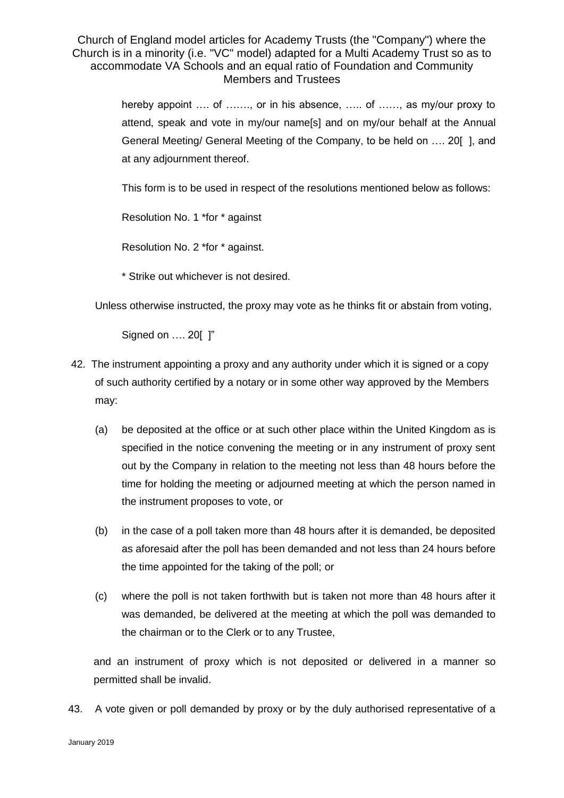> hereby appoint …. of ……., or in his absence, ….. of ……, as my/our proxy to attend, speak and vote in my/our name[s] and on my/our behalf at the Annual General Meeting/ General Meeting of the Company, to be held on …. 20[ ], and at any adjournment thereof.

This form is to be used in respect of the resolutions mentioned below as follows:

Resolution No. 1 \*for \* against

Resolution No. 2 \*for \* against.

\* Strike out whichever is not desired.

Unless otherwise instructed, the proxy may vote as he thinks fit or abstain from voting,

Signed on …. 20[ ]"

- 42. The instrument appointing a proxy and any authority under which it is signed or a copy of such authority certified by a notary or in some other way approved by the Members may:
	- (a) be deposited at the office or at such other place within the United Kingdom as is specified in the notice convening the meeting or in any instrument of proxy sent out by the Company in relation to the meeting not less than 48 hours before the time for holding the meeting or adjourned meeting at which the person named in the instrument proposes to vote, or
	- (b) in the case of a poll taken more than 48 hours after it is demanded, be deposited as aforesaid after the poll has been demanded and not less than 24 hours before the time appointed for the taking of the poll; or
	- (c) where the poll is not taken forthwith but is taken not more than 48 hours after it was demanded, be delivered at the meeting at which the poll was demanded to the chairman or to the Clerk or to any Trustee,

and an instrument of proxy which is not deposited or delivered in a manner so permitted shall be invalid.

43. A vote given or poll demanded by proxy or by the duly authorised representative of a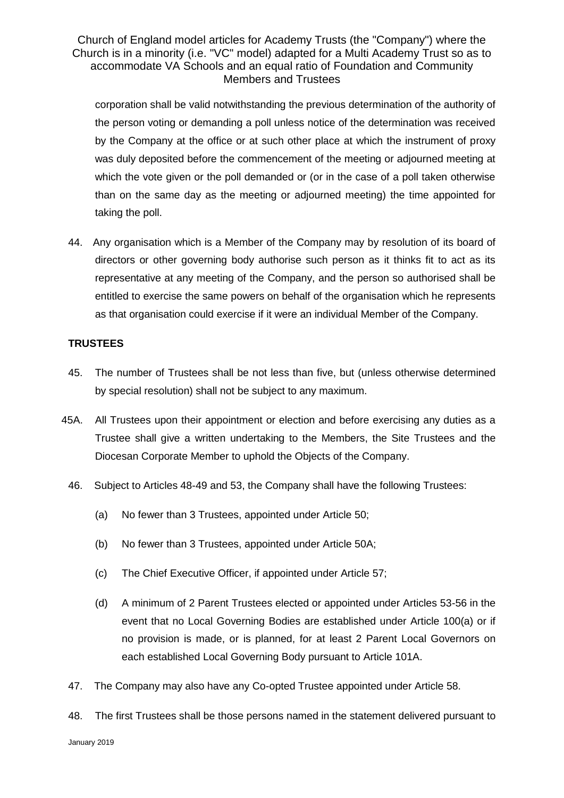corporation shall be valid notwithstanding the previous determination of the authority of the person voting or demanding a poll unless notice of the determination was received by the Company at the office or at such other place at which the instrument of proxy was duly deposited before the commencement of the meeting or adjourned meeting at which the vote given or the poll demanded or (or in the case of a poll taken otherwise than on the same day as the meeting or adjourned meeting) the time appointed for taking the poll.

44. Any organisation which is a Member of the Company may by resolution of its board of directors or other governing body authorise such person as it thinks fit to act as its representative at any meeting of the Company, and the person so authorised shall be entitled to exercise the same powers on behalf of the organisation which he represents as that organisation could exercise if it were an individual Member of the Company.

# **TRUSTEES**

- 45. The number of Trustees shall be not less than five, but (unless otherwise determined by special resolution) shall not be subject to any maximum.
- 45A. All Trustees upon their appointment or election and before exercising any duties as a Trustee shall give a written undertaking to the Members, the Site Trustees and the Diocesan Corporate Member to uphold the Objects of the Company.
	- 46. Subject to Articles 48-49 and 53, the Company shall have the following Trustees:
		- (a) No fewer than 3 Trustees, appointed under Article 50;
		- (b) No fewer than 3 Trustees, appointed under Article 50A;
		- (c) The Chief Executive Officer, if appointed under Article 57;
		- (d) A minimum of 2 Parent Trustees elected or appointed under Articles 53-56 in the event that no Local Governing Bodies are established under Article 100(a) or if no provision is made, or is planned, for at least 2 Parent Local Governors on each established Local Governing Body pursuant to Article 101A.
	- 47. The Company may also have any Co-opted Trustee appointed under Article 58.
	- 48. The first Trustees shall be those persons named in the statement delivered pursuant to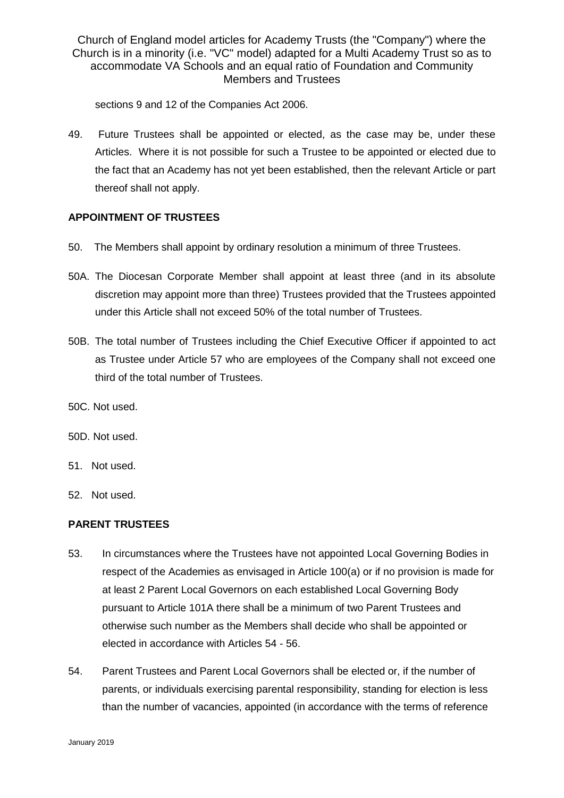sections 9 and 12 of the Companies Act 2006.

49. Future Trustees shall be appointed or elected, as the case may be, under these Articles. Where it is not possible for such a Trustee to be appointed or elected due to the fact that an Academy has not yet been established, then the relevant Article or part thereof shall not apply.

# **APPOINTMENT OF TRUSTEES**

- 50. The Members shall appoint by ordinary resolution a minimum of three Trustees.
- 50A. The Diocesan Corporate Member shall appoint at least three (and in its absolute discretion may appoint more than three) Trustees provided that the Trustees appointed under this Article shall not exceed 50% of the total number of Trustees.
- 50B. The total number of Trustees including the Chief Executive Officer if appointed to act as Trustee under Article 57 who are employees of the Company shall not exceed one third of the total number of Trustees.
- 50C. Not used.
- 50D. Not used.
- 51. Not used.
- 52. Not used.

## **PARENT TRUSTEES**

- 53. In circumstances where the Trustees have not appointed Local Governing Bodies in respect of the Academies as envisaged in Article 100(a) or if no provision is made for at least 2 Parent Local Governors on each established Local Governing Body pursuant to Article 101A there shall be a minimum of two Parent Trustees and otherwise such number as the Members shall decide who shall be appointed or elected in accordance with Articles 54 - 56.
- 54. Parent Trustees and Parent Local Governors shall be elected or, if the number of parents, or individuals exercising parental responsibility, standing for election is less than the number of vacancies, appointed (in accordance with the terms of reference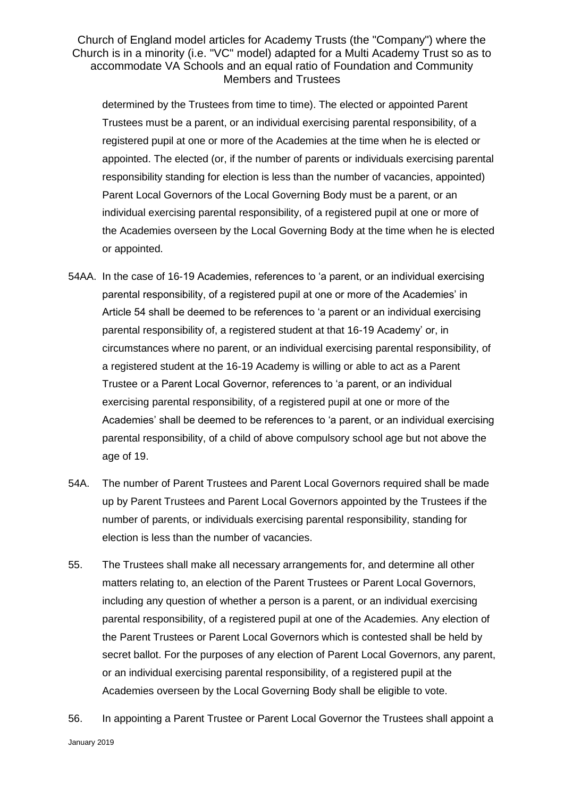determined by the Trustees from time to time). The elected or appointed Parent Trustees must be a parent, or an individual exercising parental responsibility, of a registered pupil at one or more of the Academies at the time when he is elected or appointed. The elected (or, if the number of parents or individuals exercising parental responsibility standing for election is less than the number of vacancies, appointed) Parent Local Governors of the Local Governing Body must be a parent, or an individual exercising parental responsibility, of a registered pupil at one or more of the Academies overseen by the Local Governing Body at the time when he is elected or appointed.

- 54AA. In the case of 16-19 Academies, references to 'a parent, or an individual exercising parental responsibility, of a registered pupil at one or more of the Academies' in Article 54 shall be deemed to be references to 'a parent or an individual exercising parental responsibility of, a registered student at that 16-19 Academy' or, in circumstances where no parent, or an individual exercising parental responsibility, of a registered student at the 16-19 Academy is willing or able to act as a Parent Trustee or a Parent Local Governor, references to 'a parent, or an individual exercising parental responsibility, of a registered pupil at one or more of the Academies' shall be deemed to be references to 'a parent, or an individual exercising parental responsibility, of a child of above compulsory school age but not above the age of 19.
- 54A. The number of Parent Trustees and Parent Local Governors required shall be made up by Parent Trustees and Parent Local Governors appointed by the Trustees if the number of parents, or individuals exercising parental responsibility, standing for election is less than the number of vacancies.
- 55. The Trustees shall make all necessary arrangements for, and determine all other matters relating to, an election of the Parent Trustees or Parent Local Governors, including any question of whether a person is a parent, or an individual exercising parental responsibility, of a registered pupil at one of the Academies. Any election of the Parent Trustees or Parent Local Governors which is contested shall be held by secret ballot. For the purposes of any election of Parent Local Governors, any parent, or an individual exercising parental responsibility, of a registered pupil at the Academies overseen by the Local Governing Body shall be eligible to vote.
- 56. In appointing a Parent Trustee or Parent Local Governor the Trustees shall appoint a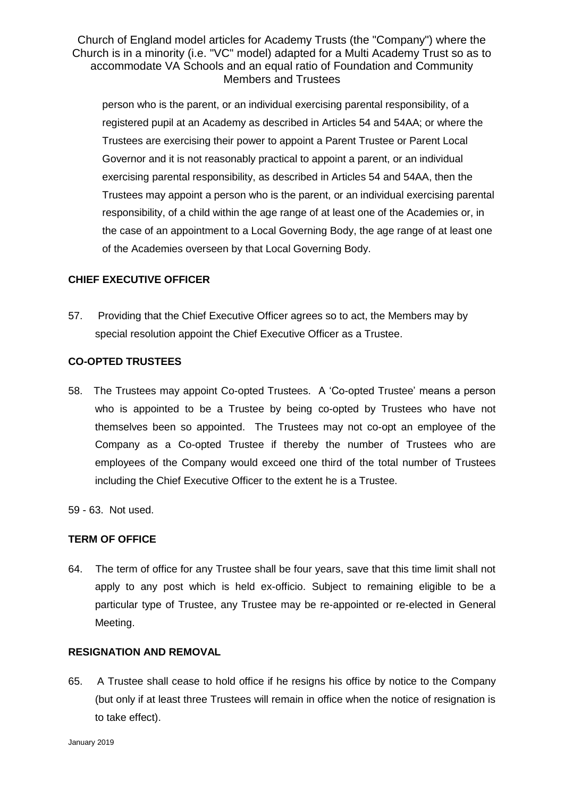person who is the parent, or an individual exercising parental responsibility, of a registered pupil at an Academy as described in Articles 54 and 54AA; or where the Trustees are exercising their power to appoint a Parent Trustee or Parent Local Governor and it is not reasonably practical to appoint a parent, or an individual exercising parental responsibility, as described in Articles 54 and 54AA, then the Trustees may appoint a person who is the parent, or an individual exercising parental responsibility, of a child within the age range of at least one of the Academies or, in the case of an appointment to a Local Governing Body, the age range of at least one of the Academies overseen by that Local Governing Body.

# **CHIEF EXECUTIVE OFFICER**

57. Providing that the Chief Executive Officer agrees so to act, the Members may by special resolution appoint the Chief Executive Officer as a Trustee.

## **CO-OPTED TRUSTEES**

58. The Trustees may appoint Co-opted Trustees. A 'Co-opted Trustee' means a person who is appointed to be a Trustee by being co-opted by Trustees who have not themselves been so appointed. The Trustees may not co-opt an employee of the Company as a Co-opted Trustee if thereby the number of Trustees who are employees of the Company would exceed one third of the total number of Trustees including the Chief Executive Officer to the extent he is a Trustee.

59 - 63. Not used.

## **TERM OF OFFICE**

64. The term of office for any Trustee shall be four years, save that this time limit shall not apply to any post which is held ex-officio. Subject to remaining eligible to be a particular type of Trustee, any Trustee may be re-appointed or re-elected in General Meeting.

## **RESIGNATION AND REMOVAL**

65. A Trustee shall cease to hold office if he resigns his office by notice to the Company (but only if at least three Trustees will remain in office when the notice of resignation is to take effect).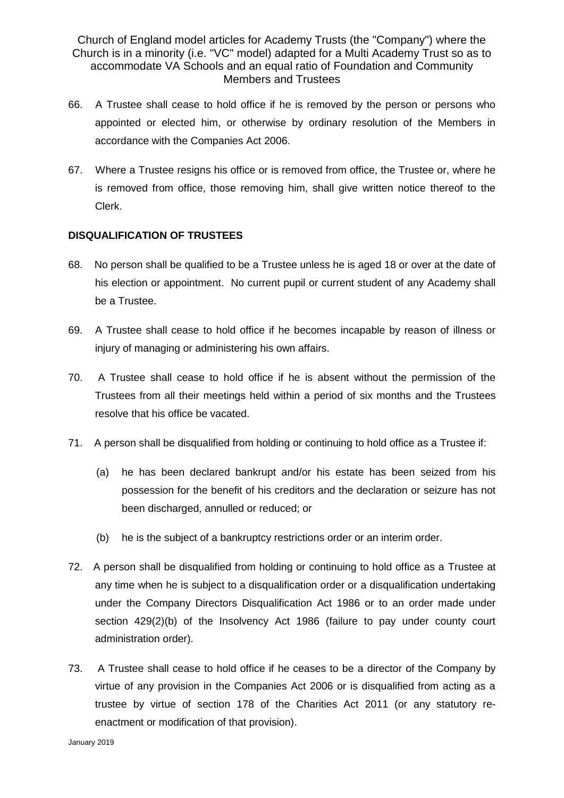- 66. A Trustee shall cease to hold office if he is removed by the person or persons who appointed or elected him, or otherwise by ordinary resolution of the Members in accordance with the Companies Act 2006.
- 67. Where a Trustee resigns his office or is removed from office, the Trustee or, where he is removed from office, those removing him, shall give written notice thereof to the Clerk.

# **DISQUALIFICATION OF TRUSTEES**

- 68. No person shall be qualified to be a Trustee unless he is aged 18 or over at the date of his election or appointment. No current pupil or current student of any Academy shall be a Trustee.
- 69. A Trustee shall cease to hold office if he becomes incapable by reason of illness or injury of managing or administering his own affairs.
- 70. A Trustee shall cease to hold office if he is absent without the permission of the Trustees from all their meetings held within a period of six months and the Trustees resolve that his office be vacated.
- 71. A person shall be disqualified from holding or continuing to hold office as a Trustee if:
	- (a) he has been declared bankrupt and/or his estate has been seized from his possession for the benefit of his creditors and the declaration or seizure has not been discharged, annulled or reduced; or
	- (b) he is the subject of a bankruptcy restrictions order or an interim order.
- 72. A person shall be disqualified from holding or continuing to hold office as a Trustee at any time when he is subject to a disqualification order or a disqualification undertaking under the Company Directors Disqualification Act 1986 or to an order made under section 429(2)(b) of the Insolvency Act 1986 (failure to pay under county court administration order).
- 73. A Trustee shall cease to hold office if he ceases to be a director of the Company by virtue of any provision in the Companies Act 2006 or is disqualified from acting as a trustee by virtue of section 178 of the Charities Act 2011 (or any statutory reenactment or modification of that provision).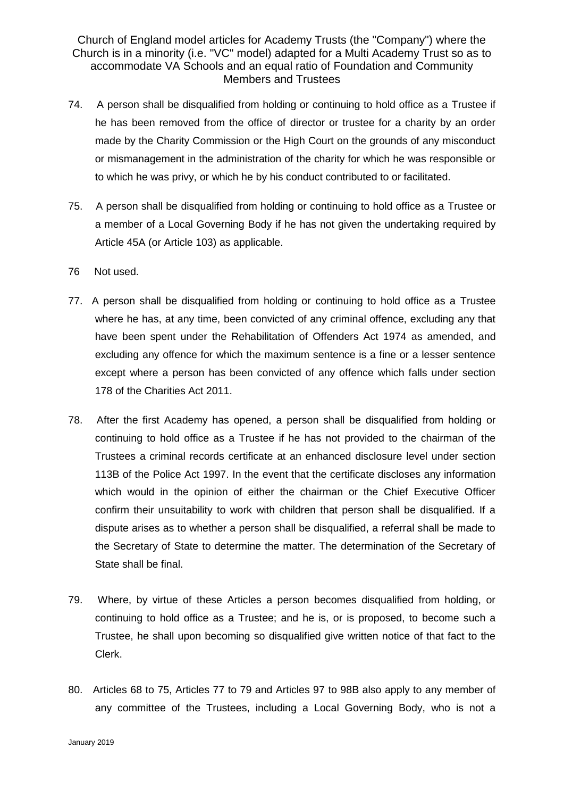- 74. A person shall be disqualified from holding or continuing to hold office as a Trustee if he has been removed from the office of director or trustee for a charity by an order made by the Charity Commission or the High Court on the grounds of any misconduct or mismanagement in the administration of the charity for which he was responsible or to which he was privy, or which he by his conduct contributed to or facilitated.
- 75. A person shall be disqualified from holding or continuing to hold office as a Trustee or a member of a Local Governing Body if he has not given the undertaking required by Article 45A (or Article 103) as applicable.
- 76 Not used.
- 77. A person shall be disqualified from holding or continuing to hold office as a Trustee where he has, at any time, been convicted of any criminal offence, excluding any that have been spent under the Rehabilitation of Offenders Act 1974 as amended, and excluding any offence for which the maximum sentence is a fine or a lesser sentence except where a person has been convicted of any offence which falls under section 178 of the Charities Act 2011.
- 78. After the first Academy has opened, a person shall be disqualified from holding or continuing to hold office as a Trustee if he has not provided to the chairman of the Trustees a criminal records certificate at an enhanced disclosure level under section 113B of the Police Act 1997. In the event that the certificate discloses any information which would in the opinion of either the chairman or the Chief Executive Officer confirm their unsuitability to work with children that person shall be disqualified. If a dispute arises as to whether a person shall be disqualified, a referral shall be made to the Secretary of State to determine the matter. The determination of the Secretary of State shall be final.
- 79. Where, by virtue of these Articles a person becomes disqualified from holding, or continuing to hold office as a Trustee; and he is, or is proposed, to become such a Trustee, he shall upon becoming so disqualified give written notice of that fact to the Clerk.
- 80. Articles 68 to 75, Articles 77 to 79 and Articles 97 to 98B also apply to any member of any committee of the Trustees, including a Local Governing Body, who is not a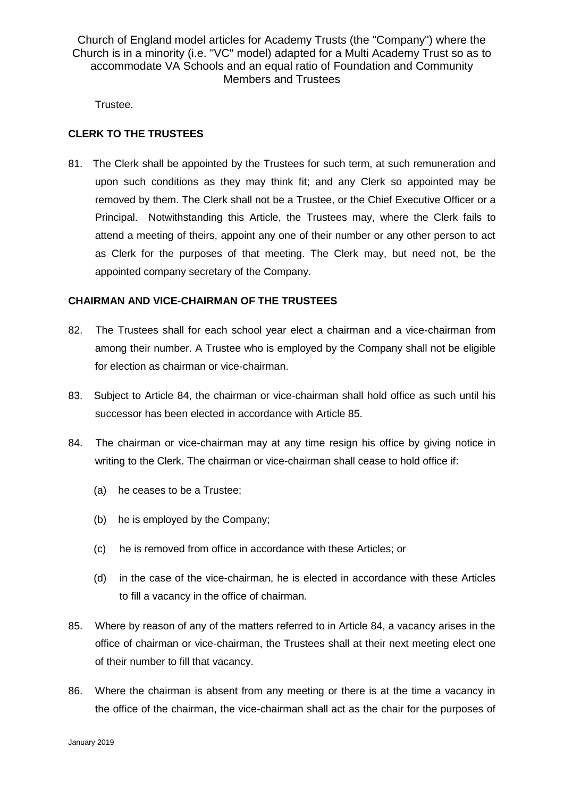Trustee.

# **CLERK TO THE TRUSTEES**

81. The Clerk shall be appointed by the Trustees for such term, at such remuneration and upon such conditions as they may think fit; and any Clerk so appointed may be removed by them. The Clerk shall not be a Trustee, or the Chief Executive Officer or a Principal. Notwithstanding this Article, the Trustees may, where the Clerk fails to attend a meeting of theirs, appoint any one of their number or any other person to act as Clerk for the purposes of that meeting. The Clerk may, but need not, be the appointed company secretary of the Company.

## **CHAIRMAN AND VICE-CHAIRMAN OF THE TRUSTEES**

- 82. The Trustees shall for each school year elect a chairman and a vice-chairman from among their number. A Trustee who is employed by the Company shall not be eligible for election as chairman or vice-chairman.
- 83. Subject to Article 84, the chairman or vice-chairman shall hold office as such until his successor has been elected in accordance with Article 85.
- 84. The chairman or vice-chairman may at any time resign his office by giving notice in writing to the Clerk. The chairman or vice-chairman shall cease to hold office if:
	- (a) he ceases to be a Trustee;
	- (b) he is employed by the Company;
	- (c) he is removed from office in accordance with these Articles; or
	- (d) in the case of the vice-chairman, he is elected in accordance with these Articles to fill a vacancy in the office of chairman.
- 85. Where by reason of any of the matters referred to in Article 84, a vacancy arises in the office of chairman or vice-chairman, the Trustees shall at their next meeting elect one of their number to fill that vacancy.
- 86. Where the chairman is absent from any meeting or there is at the time a vacancy in the office of the chairman, the vice-chairman shall act as the chair for the purposes of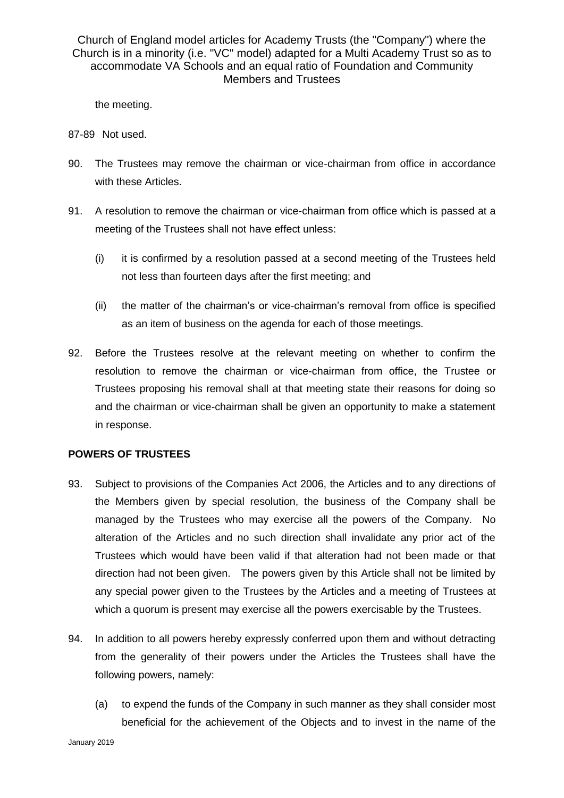the meeting.

87-89 Not used.

- 90. The Trustees may remove the chairman or vice-chairman from office in accordance with these Articles.
- 91. A resolution to remove the chairman or vice-chairman from office which is passed at a meeting of the Trustees shall not have effect unless:
	- (i) it is confirmed by a resolution passed at a second meeting of the Trustees held not less than fourteen days after the first meeting; and
	- (ii) the matter of the chairman's or vice-chairman's removal from office is specified as an item of business on the agenda for each of those meetings.
- 92. Before the Trustees resolve at the relevant meeting on whether to confirm the resolution to remove the chairman or vice-chairman from office, the Trustee or Trustees proposing his removal shall at that meeting state their reasons for doing so and the chairman or vice-chairman shall be given an opportunity to make a statement in response.

## **POWERS OF TRUSTEES**

- 93. Subject to provisions of the Companies Act 2006, the Articles and to any directions of the Members given by special resolution, the business of the Company shall be managed by the Trustees who may exercise all the powers of the Company. No alteration of the Articles and no such direction shall invalidate any prior act of the Trustees which would have been valid if that alteration had not been made or that direction had not been given. The powers given by this Article shall not be limited by any special power given to the Trustees by the Articles and a meeting of Trustees at which a quorum is present may exercise all the powers exercisable by the Trustees.
- 94. In addition to all powers hereby expressly conferred upon them and without detracting from the generality of their powers under the Articles the Trustees shall have the following powers, namely:
	- (a) to expend the funds of the Company in such manner as they shall consider most beneficial for the achievement of the Objects and to invest in the name of the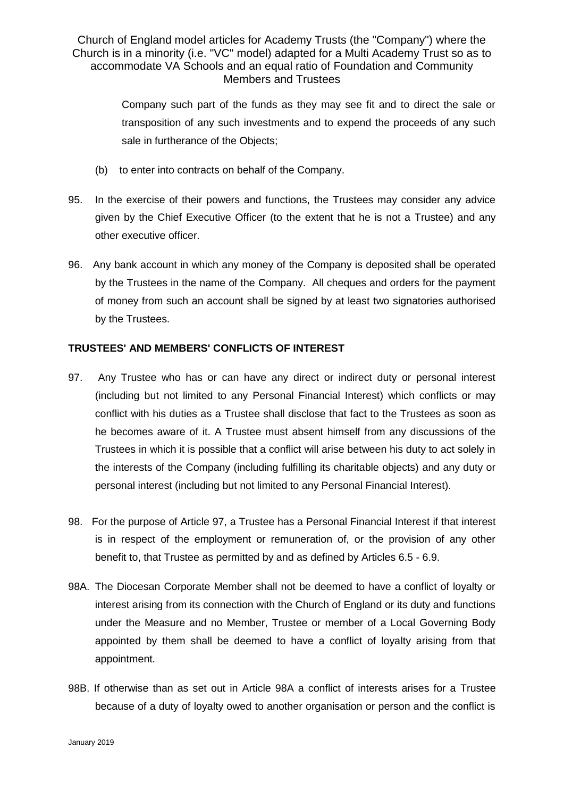> Company such part of the funds as they may see fit and to direct the sale or transposition of any such investments and to expend the proceeds of any such sale in furtherance of the Objects;

- (b) to enter into contracts on behalf of the Company.
- 95. In the exercise of their powers and functions, the Trustees may consider any advice given by the Chief Executive Officer (to the extent that he is not a Trustee) and any other executive officer.
- 96. Any bank account in which any money of the Company is deposited shall be operated by the Trustees in the name of the Company. All cheques and orders for the payment of money from such an account shall be signed by at least two signatories authorised by the Trustees.

# **TRUSTEES' AND MEMBERS' CONFLICTS OF INTEREST**

- 97. Any Trustee who has or can have any direct or indirect duty or personal interest (including but not limited to any Personal Financial Interest) which conflicts or may conflict with his duties as a Trustee shall disclose that fact to the Trustees as soon as he becomes aware of it. A Trustee must absent himself from any discussions of the Trustees in which it is possible that a conflict will arise between his duty to act solely in the interests of the Company (including fulfilling its charitable objects) and any duty or personal interest (including but not limited to any Personal Financial Interest).
- 98. For the purpose of Article 97, a Trustee has a Personal Financial Interest if that interest is in respect of the employment or remuneration of, or the provision of any other benefit to, that Trustee as permitted by and as defined by Articles 6.5 - 6.9.
- 98A. The Diocesan Corporate Member shall not be deemed to have a conflict of loyalty or interest arising from its connection with the Church of England or its duty and functions under the Measure and no Member, Trustee or member of a Local Governing Body appointed by them shall be deemed to have a conflict of loyalty arising from that appointment.
- 98B. If otherwise than as set out in Article 98A a conflict of interests arises for a Trustee because of a duty of loyalty owed to another organisation or person and the conflict is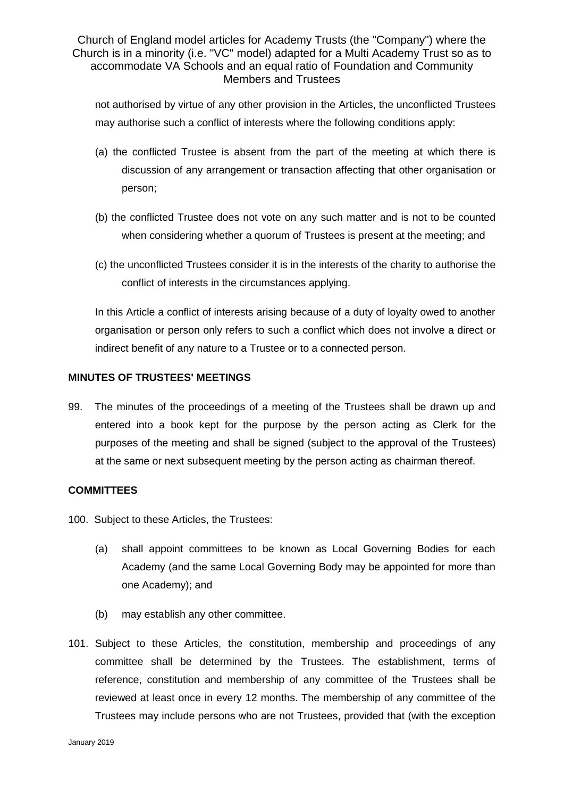not authorised by virtue of any other provision in the Articles, the unconflicted Trustees may authorise such a conflict of interests where the following conditions apply:

- (a) the conflicted Trustee is absent from the part of the meeting at which there is discussion of any arrangement or transaction affecting that other organisation or person;
- (b) the conflicted Trustee does not vote on any such matter and is not to be counted when considering whether a quorum of Trustees is present at the meeting; and
- (c) the unconflicted Trustees consider it is in the interests of the charity to authorise the conflict of interests in the circumstances applying.

In this Article a conflict of interests arising because of a duty of loyalty owed to another organisation or person only refers to such a conflict which does not involve a direct or indirect benefit of any nature to a Trustee or to a connected person.

# **MINUTES OF TRUSTEES' MEETINGS**

99. The minutes of the proceedings of a meeting of the Trustees shall be drawn up and entered into a book kept for the purpose by the person acting as Clerk for the purposes of the meeting and shall be signed (subject to the approval of the Trustees) at the same or next subsequent meeting by the person acting as chairman thereof.

## **COMMITTEES**

- 100. Subject to these Articles, the Trustees:
	- (a) shall appoint committees to be known as Local Governing Bodies for each Academy (and the same Local Governing Body may be appointed for more than one Academy); and
	- (b) may establish any other committee.
- 101. Subject to these Articles, the constitution, membership and proceedings of any committee shall be determined by the Trustees. The establishment, terms of reference, constitution and membership of any committee of the Trustees shall be reviewed at least once in every 12 months. The membership of any committee of the Trustees may include persons who are not Trustees, provided that (with the exception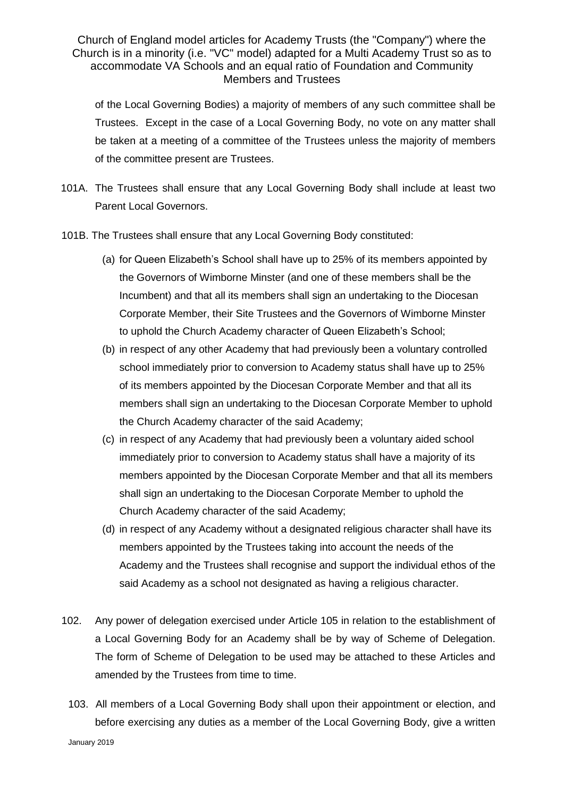of the Local Governing Bodies) a majority of members of any such committee shall be Trustees. Except in the case of a Local Governing Body, no vote on any matter shall be taken at a meeting of a committee of the Trustees unless the majority of members of the committee present are Trustees.

- 101A. The Trustees shall ensure that any Local Governing Body shall include at least two Parent Local Governors.
- 101B. The Trustees shall ensure that any Local Governing Body constituted:
	- (a) for Queen Elizabeth's School shall have up to 25% of its members appointed by the Governors of Wimborne Minster (and one of these members shall be the Incumbent) and that all its members shall sign an undertaking to the Diocesan Corporate Member, their Site Trustees and the Governors of Wimborne Minster to uphold the Church Academy character of Queen Elizabeth's School;
	- (b) in respect of any other Academy that had previously been a voluntary controlled school immediately prior to conversion to Academy status shall have up to 25% of its members appointed by the Diocesan Corporate Member and that all its members shall sign an undertaking to the Diocesan Corporate Member to uphold the Church Academy character of the said Academy;
	- (c) in respect of any Academy that had previously been a voluntary aided school immediately prior to conversion to Academy status shall have a majority of its members appointed by the Diocesan Corporate Member and that all its members shall sign an undertaking to the Diocesan Corporate Member to uphold the Church Academy character of the said Academy;
	- (d) in respect of any Academy without a designated religious character shall have its members appointed by the Trustees taking into account the needs of the Academy and the Trustees shall recognise and support the individual ethos of the said Academy as a school not designated as having a religious character.
- 102. Any power of delegation exercised under Article 105 in relation to the establishment of a Local Governing Body for an Academy shall be by way of Scheme of Delegation. The form of Scheme of Delegation to be used may be attached to these Articles and amended by the Trustees from time to time.
	- 103. All members of a Local Governing Body shall upon their appointment or election, and before exercising any duties as a member of the Local Governing Body, give a written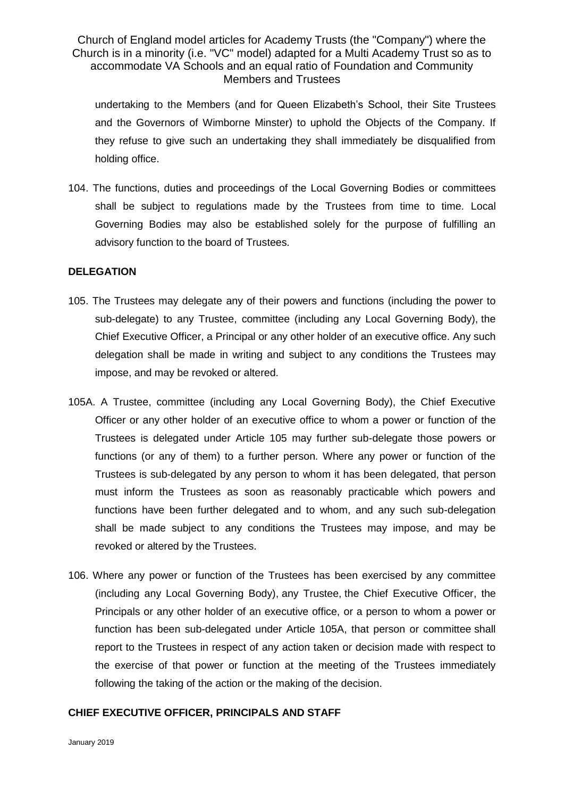undertaking to the Members (and for Queen Elizabeth's School, their Site Trustees and the Governors of Wimborne Minster) to uphold the Objects of the Company. If they refuse to give such an undertaking they shall immediately be disqualified from holding office.

104. The functions, duties and proceedings of the Local Governing Bodies or committees shall be subject to regulations made by the Trustees from time to time. Local Governing Bodies may also be established solely for the purpose of fulfilling an advisory function to the board of Trustees.

## **DELEGATION**

- 105. The Trustees may delegate any of their powers and functions (including the power to sub-delegate) to any Trustee, committee (including any Local Governing Body), the Chief Executive Officer, a Principal or any other holder of an executive office. Any such delegation shall be made in writing and subject to any conditions the Trustees may impose, and may be revoked or altered.
- 105A. A Trustee, committee (including any Local Governing Body), the Chief Executive Officer or any other holder of an executive office to whom a power or function of the Trustees is delegated under Article 105 may further sub-delegate those powers or functions (or any of them) to a further person. Where any power or function of the Trustees is sub-delegated by any person to whom it has been delegated, that person must inform the Trustees as soon as reasonably practicable which powers and functions have been further delegated and to whom, and any such sub-delegation shall be made subject to any conditions the Trustees may impose, and may be revoked or altered by the Trustees.
- 106. Where any power or function of the Trustees has been exercised by any committee (including any Local Governing Body), any Trustee, the Chief Executive Officer, the Principals or any other holder of an executive office, or a person to whom a power or function has been sub-delegated under Article 105A, that person or committee shall report to the Trustees in respect of any action taken or decision made with respect to the exercise of that power or function at the meeting of the Trustees immediately following the taking of the action or the making of the decision.

# **CHIEF EXECUTIVE OFFICER, PRINCIPALS AND STAFF**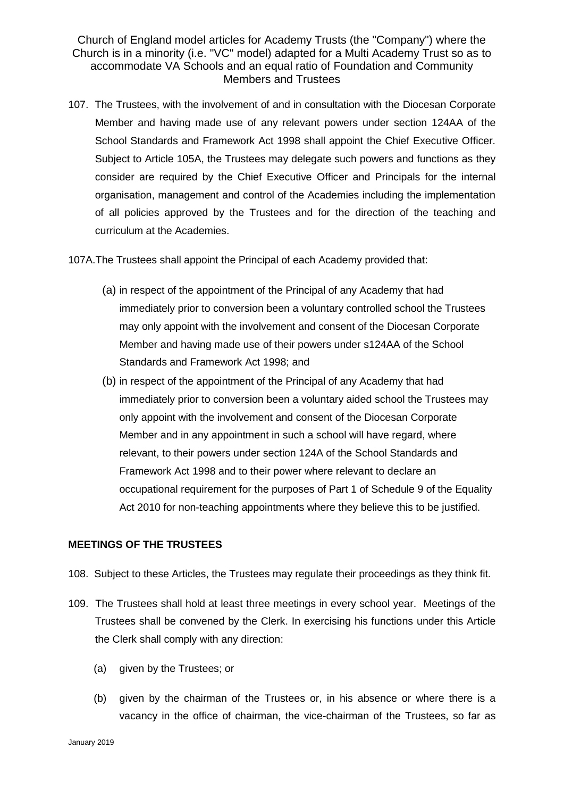107. The Trustees, with the involvement of and in consultation with the Diocesan Corporate Member and having made use of any relevant powers under section 124AA of the School Standards and Framework Act 1998 shall appoint the Chief Executive Officer. Subject to Article 105A, the Trustees may delegate such powers and functions as they consider are required by the Chief Executive Officer and Principals for the internal organisation, management and control of the Academies including the implementation of all policies approved by the Trustees and for the direction of the teaching and curriculum at the Academies.

107A.The Trustees shall appoint the Principal of each Academy provided that:

- (a) in respect of the appointment of the Principal of any Academy that had immediately prior to conversion been a voluntary controlled school the Trustees may only appoint with the involvement and consent of the Diocesan Corporate Member and having made use of their powers under s124AA of the School Standards and Framework Act 1998; and
- (b) in respect of the appointment of the Principal of any Academy that had immediately prior to conversion been a voluntary aided school the Trustees may only appoint with the involvement and consent of the Diocesan Corporate Member and in any appointment in such a school will have regard, where relevant, to their powers under section 124A of the School Standards and Framework Act 1998 and to their power where relevant to declare an occupational requirement for the purposes of Part 1 of Schedule 9 of the Equality Act 2010 for non-teaching appointments where they believe this to be justified.

#### **MEETINGS OF THE TRUSTEES**

- 108. Subject to these Articles, the Trustees may regulate their proceedings as they think fit.
- 109. The Trustees shall hold at least three meetings in every school year. Meetings of the Trustees shall be convened by the Clerk. In exercising his functions under this Article the Clerk shall comply with any direction:
	- (a) given by the Trustees; or
	- (b) given by the chairman of the Trustees or, in his absence or where there is a vacancy in the office of chairman, the vice-chairman of the Trustees, so far as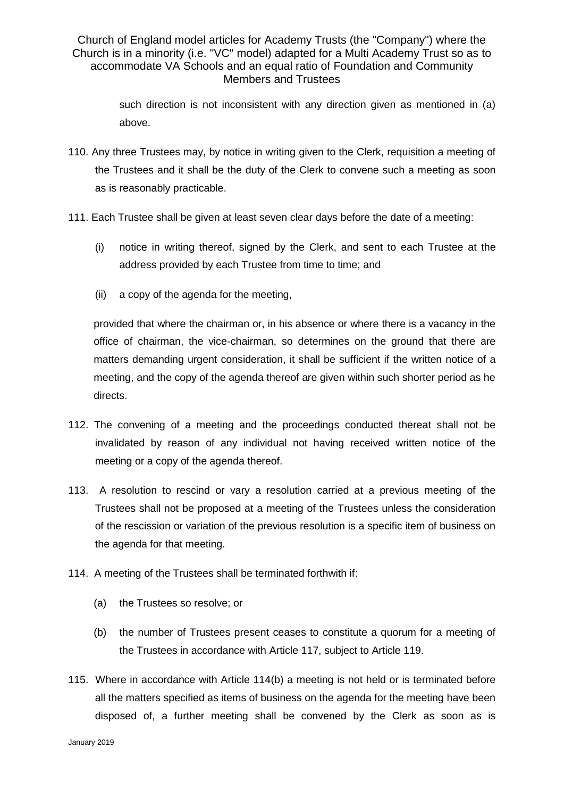> such direction is not inconsistent with any direction given as mentioned in (a) above.

- 110. Any three Trustees may, by notice in writing given to the Clerk, requisition a meeting of the Trustees and it shall be the duty of the Clerk to convene such a meeting as soon as is reasonably practicable.
- 111. Each Trustee shall be given at least seven clear days before the date of a meeting:
	- (i) notice in writing thereof, signed by the Clerk, and sent to each Trustee at the address provided by each Trustee from time to time; and
	- (ii) a copy of the agenda for the meeting,

provided that where the chairman or, in his absence or where there is a vacancy in the office of chairman, the vice-chairman, so determines on the ground that there are matters demanding urgent consideration, it shall be sufficient if the written notice of a meeting, and the copy of the agenda thereof are given within such shorter period as he directs.

- 112. The convening of a meeting and the proceedings conducted thereat shall not be invalidated by reason of any individual not having received written notice of the meeting or a copy of the agenda thereof.
- 113. A resolution to rescind or vary a resolution carried at a previous meeting of the Trustees shall not be proposed at a meeting of the Trustees unless the consideration of the rescission or variation of the previous resolution is a specific item of business on the agenda for that meeting.
- 114. A meeting of the Trustees shall be terminated forthwith if:
	- (a) the Trustees so resolve; or
	- (b) the number of Trustees present ceases to constitute a quorum for a meeting of the Trustees in accordance with Article 117, subject to Article 119.
- 115. Where in accordance with Article 114(b) a meeting is not held or is terminated before all the matters specified as items of business on the agenda for the meeting have been disposed of, a further meeting shall be convened by the Clerk as soon as is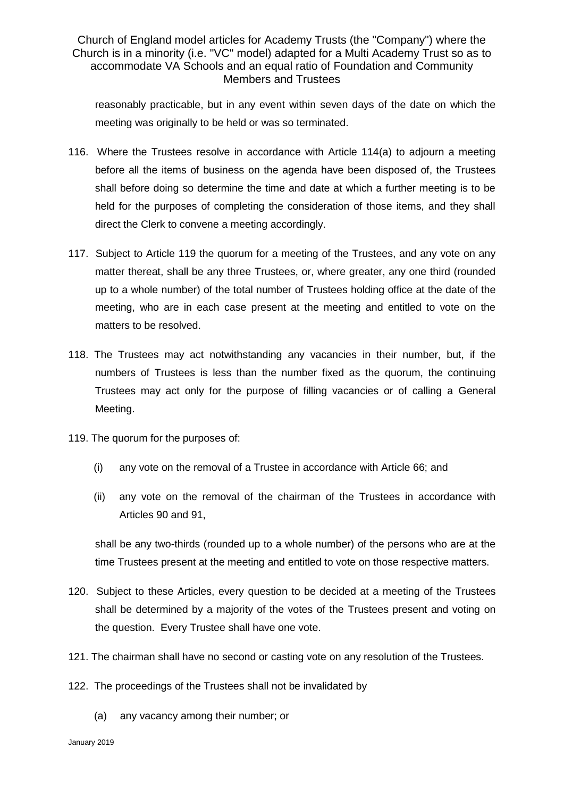reasonably practicable, but in any event within seven days of the date on which the meeting was originally to be held or was so terminated.

- 116. Where the Trustees resolve in accordance with Article 114(a) to adjourn a meeting before all the items of business on the agenda have been disposed of, the Trustees shall before doing so determine the time and date at which a further meeting is to be held for the purposes of completing the consideration of those items, and they shall direct the Clerk to convene a meeting accordingly.
- 117. Subject to Article 119 the quorum for a meeting of the Trustees, and any vote on any matter thereat, shall be any three Trustees, or, where greater, any one third (rounded up to a whole number) of the total number of Trustees holding office at the date of the meeting, who are in each case present at the meeting and entitled to vote on the matters to be resolved.
- 118. The Trustees may act notwithstanding any vacancies in their number, but, if the numbers of Trustees is less than the number fixed as the quorum, the continuing Trustees may act only for the purpose of filling vacancies or of calling a General Meeting.
- 119. The quorum for the purposes of:
	- (i) any vote on the removal of a Trustee in accordance with Article 66; and
	- (ii) any vote on the removal of the chairman of the Trustees in accordance with Articles 90 and 91,

shall be any two-thirds (rounded up to a whole number) of the persons who are at the time Trustees present at the meeting and entitled to vote on those respective matters.

- 120. Subject to these Articles, every question to be decided at a meeting of the Trustees shall be determined by a majority of the votes of the Trustees present and voting on the question. Every Trustee shall have one vote.
- 121. The chairman shall have no second or casting vote on any resolution of the Trustees.
- 122. The proceedings of the Trustees shall not be invalidated by
	- (a) any vacancy among their number; or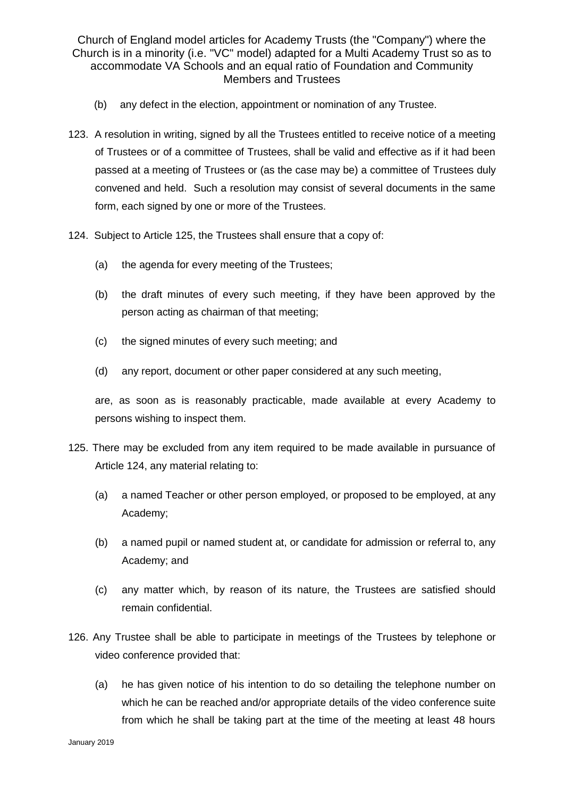- (b) any defect in the election, appointment or nomination of any Trustee.
- 123. A resolution in writing, signed by all the Trustees entitled to receive notice of a meeting of Trustees or of a committee of Trustees, shall be valid and effective as if it had been passed at a meeting of Trustees or (as the case may be) a committee of Trustees duly convened and held. Such a resolution may consist of several documents in the same form, each signed by one or more of the Trustees.
- 124. Subject to Article 125, the Trustees shall ensure that a copy of:
	- (a) the agenda for every meeting of the Trustees;
	- (b) the draft minutes of every such meeting, if they have been approved by the person acting as chairman of that meeting;
	- (c) the signed minutes of every such meeting; and
	- (d) any report, document or other paper considered at any such meeting,

are, as soon as is reasonably practicable, made available at every Academy to persons wishing to inspect them.

- 125. There may be excluded from any item required to be made available in pursuance of Article 124, any material relating to:
	- (a) a named Teacher or other person employed, or proposed to be employed, at any Academy;
	- (b) a named pupil or named student at, or candidate for admission or referral to, any Academy; and
	- (c) any matter which, by reason of its nature, the Trustees are satisfied should remain confidential.
- 126. Any Trustee shall be able to participate in meetings of the Trustees by telephone or video conference provided that:
	- (a) he has given notice of his intention to do so detailing the telephone number on which he can be reached and/or appropriate details of the video conference suite from which he shall be taking part at the time of the meeting at least 48 hours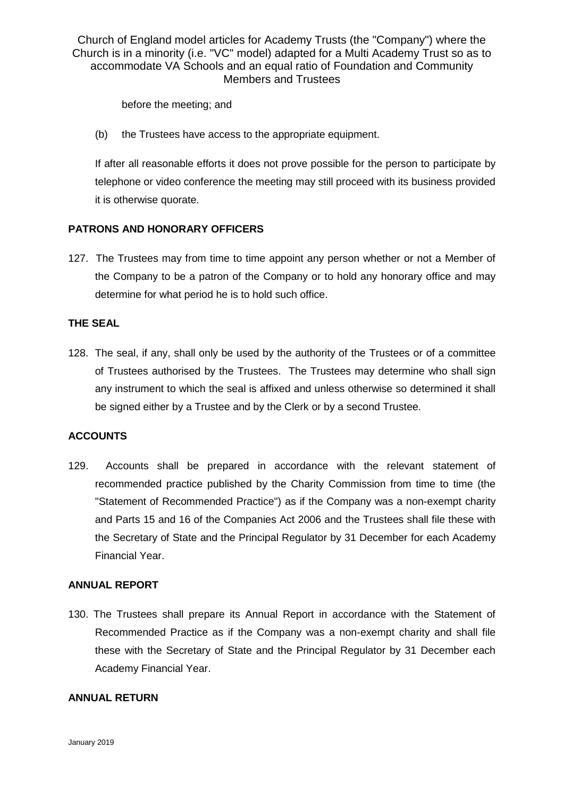before the meeting; and

(b) the Trustees have access to the appropriate equipment.

If after all reasonable efforts it does not prove possible for the person to participate by telephone or video conference the meeting may still proceed with its business provided it is otherwise quorate.

# **PATRONS AND HONORARY OFFICERS**

127. The Trustees may from time to time appoint any person whether or not a Member of the Company to be a patron of the Company or to hold any honorary office and may determine for what period he is to hold such office.

# **THE SEAL**

128. The seal, if any, shall only be used by the authority of the Trustees or of a committee of Trustees authorised by the Trustees. The Trustees may determine who shall sign any instrument to which the seal is affixed and unless otherwise so determined it shall be signed either by a Trustee and by the Clerk or by a second Trustee.

## **ACCOUNTS**

129. Accounts shall be prepared in accordance with the relevant statement of recommended practice published by the Charity Commission from time to time (the "Statement of Recommended Practice") as if the Company was a non-exempt charity and Parts 15 and 16 of the Companies Act 2006 and the Trustees shall file these with the Secretary of State and the Principal Regulator by 31 December for each Academy Financial Year.

## **ANNUAL REPORT**

130. The Trustees shall prepare its Annual Report in accordance with the Statement of Recommended Practice as if the Company was a non-exempt charity and shall file these with the Secretary of State and the Principal Regulator by 31 December each Academy Financial Year.

## **ANNUAL RETURN**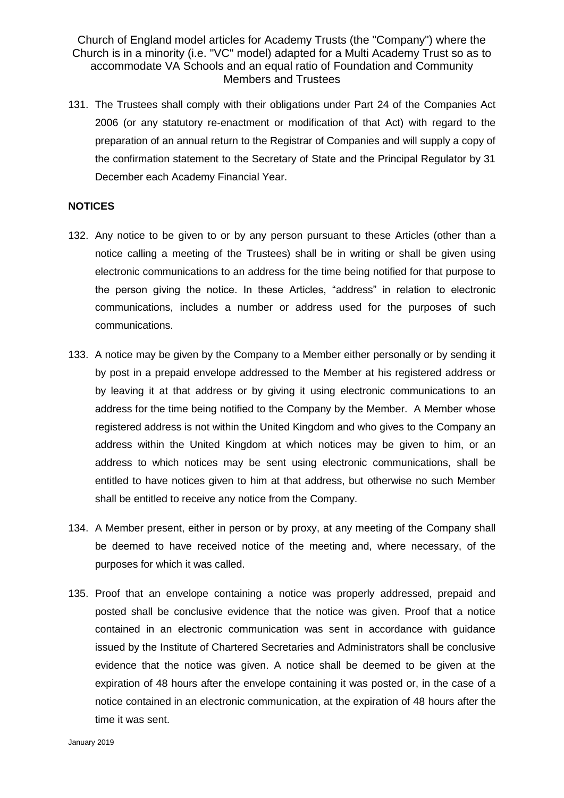131. The Trustees shall comply with their obligations under Part 24 of the Companies Act 2006 (or any statutory re-enactment or modification of that Act) with regard to the preparation of an annual return to the Registrar of Companies and will supply a copy of the confirmation statement to the Secretary of State and the Principal Regulator by 31 December each Academy Financial Year.

## **NOTICES**

- 132. Any notice to be given to or by any person pursuant to these Articles (other than a notice calling a meeting of the Trustees) shall be in writing or shall be given using electronic communications to an address for the time being notified for that purpose to the person giving the notice. In these Articles, "address" in relation to electronic communications, includes a number or address used for the purposes of such communications.
- 133. A notice may be given by the Company to a Member either personally or by sending it by post in a prepaid envelope addressed to the Member at his registered address or by leaving it at that address or by giving it using electronic communications to an address for the time being notified to the Company by the Member. A Member whose registered address is not within the United Kingdom and who gives to the Company an address within the United Kingdom at which notices may be given to him, or an address to which notices may be sent using electronic communications, shall be entitled to have notices given to him at that address, but otherwise no such Member shall be entitled to receive any notice from the Company.
- 134. A Member present, either in person or by proxy, at any meeting of the Company shall be deemed to have received notice of the meeting and, where necessary, of the purposes for which it was called.
- 135. Proof that an envelope containing a notice was properly addressed, prepaid and posted shall be conclusive evidence that the notice was given. Proof that a notice contained in an electronic communication was sent in accordance with guidance issued by the Institute of Chartered Secretaries and Administrators shall be conclusive evidence that the notice was given. A notice shall be deemed to be given at the expiration of 48 hours after the envelope containing it was posted or, in the case of a notice contained in an electronic communication, at the expiration of 48 hours after the time it was sent.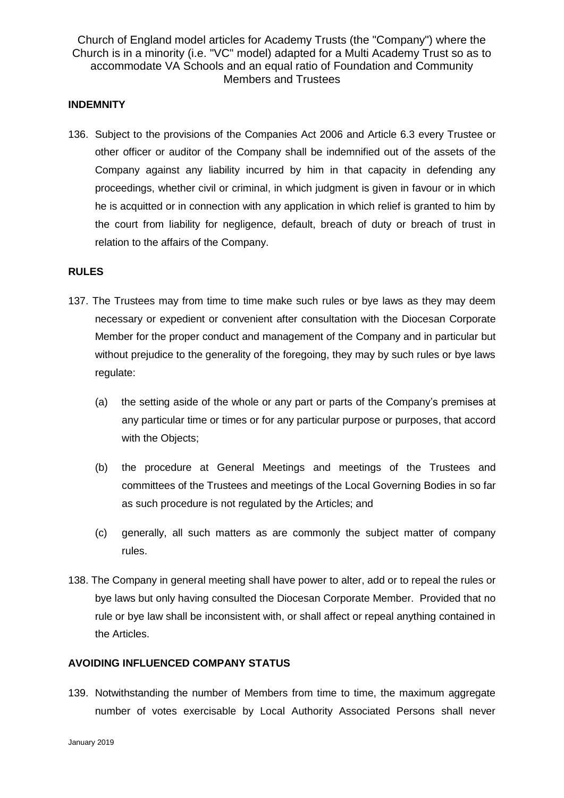## **INDEMNITY**

136. Subject to the provisions of the Companies Act 2006 and Article 6.3 every Trustee or other officer or auditor of the Company shall be indemnified out of the assets of the Company against any liability incurred by him in that capacity in defending any proceedings, whether civil or criminal, in which judgment is given in favour or in which he is acquitted or in connection with any application in which relief is granted to him by the court from liability for negligence, default, breach of duty or breach of trust in relation to the affairs of the Company.

#### **RULES**

- 137. The Trustees may from time to time make such rules or bye laws as they may deem necessary or expedient or convenient after consultation with the Diocesan Corporate Member for the proper conduct and management of the Company and in particular but without prejudice to the generality of the foregoing, they may by such rules or bye laws regulate:
	- (a) the setting aside of the whole or any part or parts of the Company's premises at any particular time or times or for any particular purpose or purposes, that accord with the Objects;
	- (b) the procedure at General Meetings and meetings of the Trustees and committees of the Trustees and meetings of the Local Governing Bodies in so far as such procedure is not regulated by the Articles; and
	- (c) generally, all such matters as are commonly the subject matter of company rules.
- 138. The Company in general meeting shall have power to alter, add or to repeal the rules or bye laws but only having consulted the Diocesan Corporate Member. Provided that no rule or bye law shall be inconsistent with, or shall affect or repeal anything contained in the Articles.

#### **AVOIDING INFLUENCED COMPANY STATUS**

139. Notwithstanding the number of Members from time to time, the maximum aggregate number of votes exercisable by Local Authority Associated Persons shall never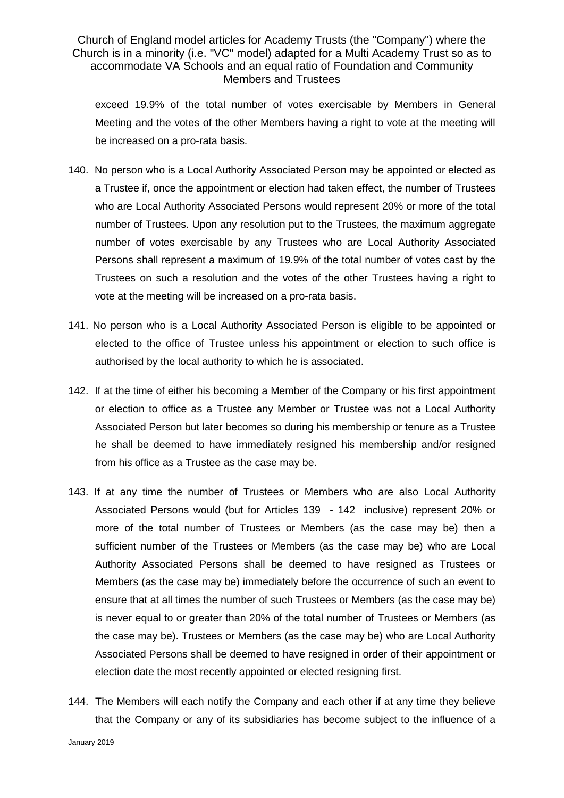exceed 19.9% of the total number of votes exercisable by Members in General Meeting and the votes of the other Members having a right to vote at the meeting will be increased on a pro-rata basis.

- 140. No person who is a Local Authority Associated Person may be appointed or elected as a Trustee if, once the appointment or election had taken effect, the number of Trustees who are Local Authority Associated Persons would represent 20% or more of the total number of Trustees. Upon any resolution put to the Trustees, the maximum aggregate number of votes exercisable by any Trustees who are Local Authority Associated Persons shall represent a maximum of 19.9% of the total number of votes cast by the Trustees on such a resolution and the votes of the other Trustees having a right to vote at the meeting will be increased on a pro-rata basis.
- 141. No person who is a Local Authority Associated Person is eligible to be appointed or elected to the office of Trustee unless his appointment or election to such office is authorised by the local authority to which he is associated.
- 142. If at the time of either his becoming a Member of the Company or his first appointment or election to office as a Trustee any Member or Trustee was not a Local Authority Associated Person but later becomes so during his membership or tenure as a Trustee he shall be deemed to have immediately resigned his membership and/or resigned from his office as a Trustee as the case may be.
- 143. If at any time the number of Trustees or Members who are also Local Authority Associated Persons would (but for Articles 139 - 142 inclusive) represent 20% or more of the total number of Trustees or Members (as the case may be) then a sufficient number of the Trustees or Members (as the case may be) who are Local Authority Associated Persons shall be deemed to have resigned as Trustees or Members (as the case may be) immediately before the occurrence of such an event to ensure that at all times the number of such Trustees or Members (as the case may be) is never equal to or greater than 20% of the total number of Trustees or Members (as the case may be). Trustees or Members (as the case may be) who are Local Authority Associated Persons shall be deemed to have resigned in order of their appointment or election date the most recently appointed or elected resigning first.
- 144. The Members will each notify the Company and each other if at any time they believe that the Company or any of its subsidiaries has become subject to the influence of a